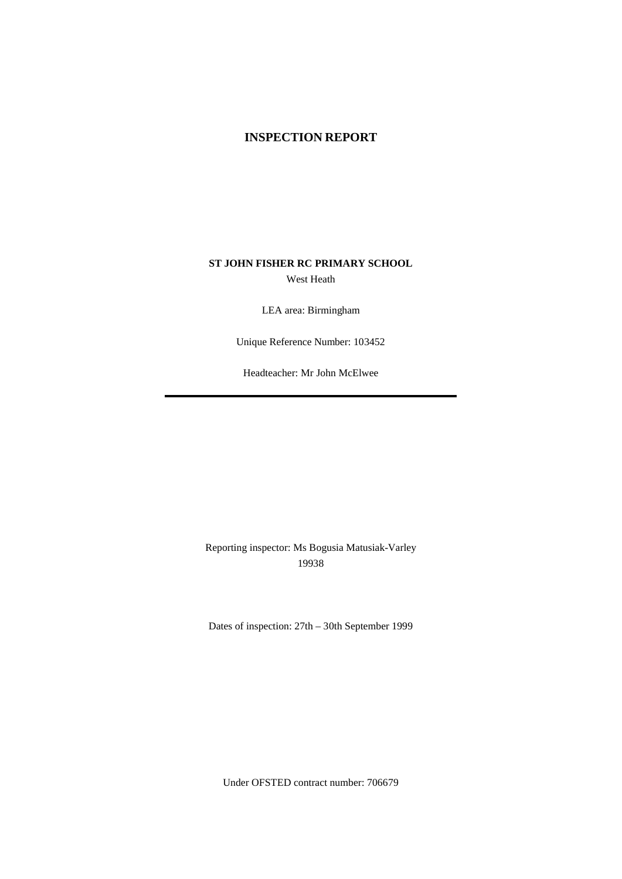### **INSPECTION REPORT**

### **ST JOHN FISHER RC PRIMARY SCHOOL** West Heath

LEA area: Birmingham

Unique Reference Number: 103452

Headteacher: Mr John McElwee

Reporting inspector: Ms Bogusia Matusiak-Varley 19938

Dates of inspection: 27th – 30th September 1999

Under OFSTED contract number: 706679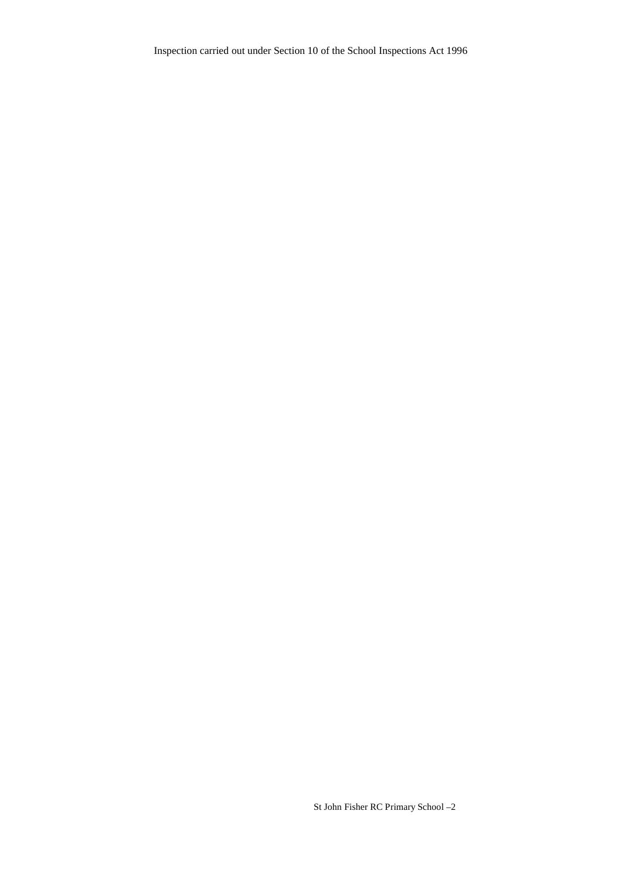Inspection carried out under Section 10 of the School Inspections Act 1996

St John Fisher RC Primary School –2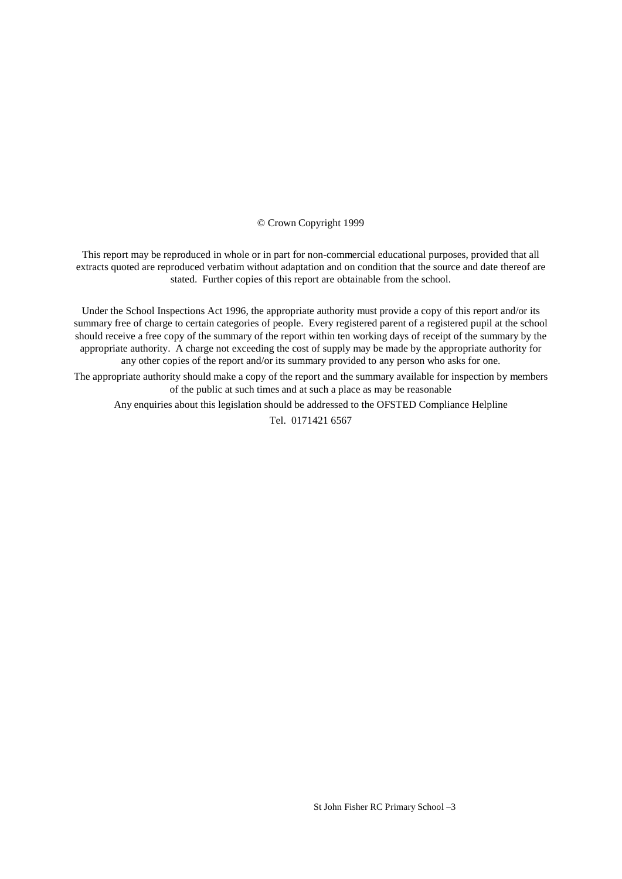#### © Crown Copyright 1999

This report may be reproduced in whole or in part for non-commercial educational purposes, provided that all extracts quoted are reproduced verbatim without adaptation and on condition that the source and date thereof are stated. Further copies of this report are obtainable from the school.

Under the School Inspections Act 1996, the appropriate authority must provide a copy of this report and/or its summary free of charge to certain categories of people. Every registered parent of a registered pupil at the school should receive a free copy of the summary of the report within ten working days of receipt of the summary by the appropriate authority. A charge not exceeding the cost of supply may be made by the appropriate authority for any other copies of the report and/or its summary provided to any person who asks for one.

The appropriate authority should make a copy of the report and the summary available for inspection by members of the public at such times and at such a place as may be reasonable

Any enquiries about this legislation should be addressed to the OFSTED Compliance Helpline

Tel. 0171421 6567

St John Fisher RC Primary School –3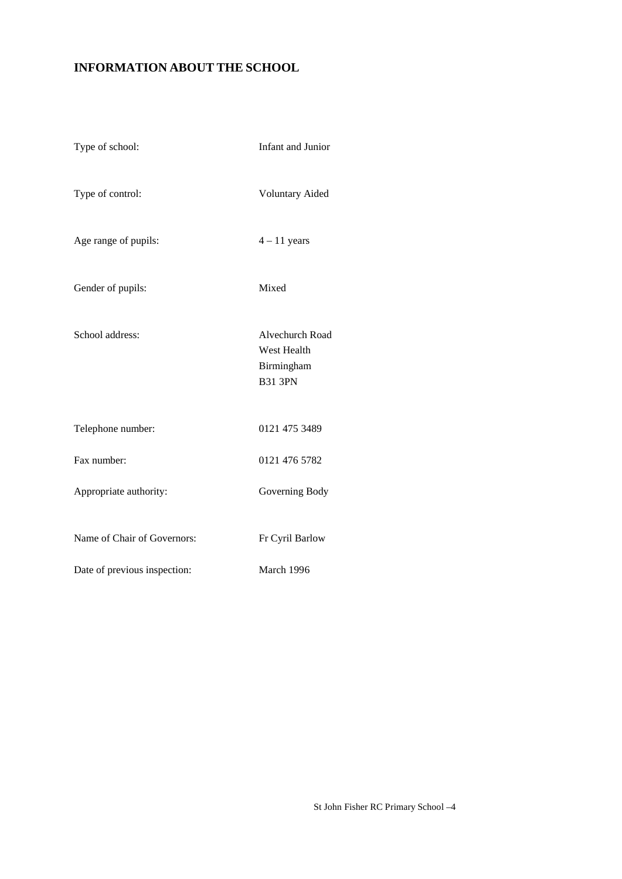# **INFORMATION ABOUT THE SCHOOL**

| Type of school:              | <b>Infant and Junior</b>                                       |
|------------------------------|----------------------------------------------------------------|
| Type of control:             | <b>Voluntary Aided</b>                                         |
| Age range of pupils:         | $4 - 11$ years                                                 |
| Gender of pupils:            | Mixed                                                          |
| School address:              | Alvechurch Road<br>West Health<br>Birmingham<br><b>B31 3PN</b> |
| Telephone number:            | 0121 475 3489                                                  |
| Fax number:                  | 0121 476 5782                                                  |
| Appropriate authority:       | Governing Body                                                 |
| Name of Chair of Governors:  | Fr Cyril Barlow                                                |
| Date of previous inspection: | March 1996                                                     |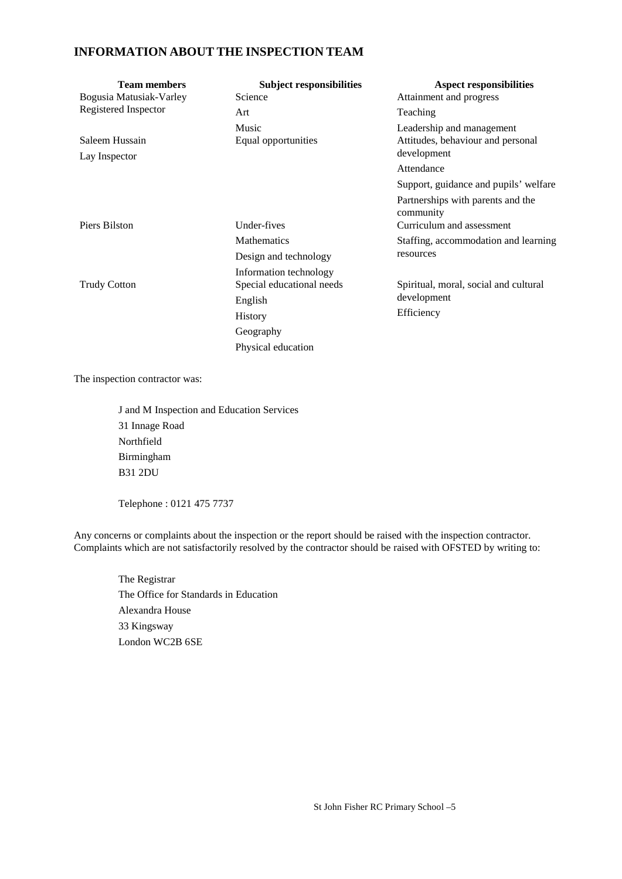### **INFORMATION ABOUT THE INSPECTION TEAM**

| <b>Team members</b><br>Bogusia Matusiak-Varley | <b>Subject responsibilities</b><br>Science          | <b>Aspect responsibilities</b><br>Attainment and progress                     |
|------------------------------------------------|-----------------------------------------------------|-------------------------------------------------------------------------------|
| Registered Inspector                           | Art                                                 | Teaching                                                                      |
| Saleem Hussain<br>Lay Inspector                | Music<br>Equal opportunities                        | Leadership and management<br>Attitudes, behaviour and personal<br>development |
|                                                |                                                     | Attendance                                                                    |
|                                                |                                                     | Support, guidance and pupils' welfare                                         |
|                                                |                                                     | Partnerships with parents and the<br>community                                |
| Piers Bilston                                  | Under-fives                                         | Curriculum and assessment                                                     |
|                                                | <b>Mathematics</b>                                  | Staffing, accommodation and learning                                          |
|                                                | Design and technology                               | resources                                                                     |
| <b>Trudy Cotton</b>                            | Information technology<br>Special educational needs | Spiritual, moral, social and cultural                                         |
|                                                | English                                             | development                                                                   |
|                                                | <b>History</b>                                      | Efficiency                                                                    |
|                                                | Geography                                           |                                                                               |
|                                                | Physical education                                  |                                                                               |

The inspection contractor was:

J and M Inspection and Education Services 31 Innage Road Northfield Birmingham B31 2DU

Telephone : 0121 475 7737

Any concerns or complaints about the inspection or the report should be raised with the inspection contractor. Complaints which are not satisfactorily resolved by the contractor should be raised with OFSTED by writing to:

The Registrar The Office for Standards in Education Alexandra House 33 Kingsway London WC2B 6SE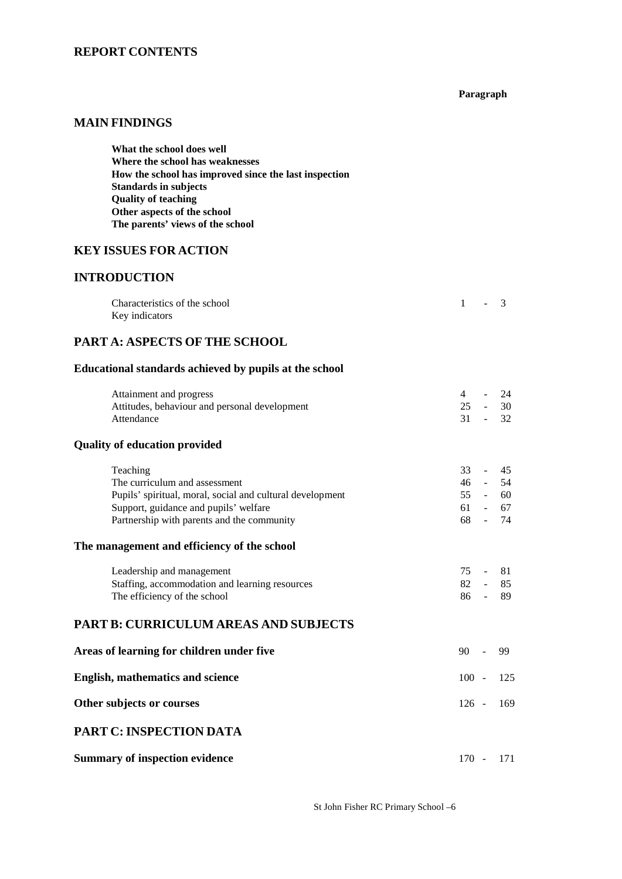### **REPORT CONTENTS**

#### **Paragraph**

## **MAIN FINDINGS**

| What the school does well                             |
|-------------------------------------------------------|
| Where the school has weaknesses                       |
| How the school has improved since the last inspection |
| Standards in subjects                                 |
| <b>Ouality of teaching</b>                            |
| Other aspects of the school                           |
| The parents' views of the school                      |
|                                                       |

### **KEY ISSUES FOR ACTION**

### **INTRODUCTION**

| Characteristics of the school | $-3$ |  |
|-------------------------------|------|--|
| Key indicators                |      |  |

### **PART A: ASPECTS OF THE SCHOOL**

### **Educational standards achieved by pupils at the school**

| Attainment and progress                                   | 4         |                | 24        |
|-----------------------------------------------------------|-----------|----------------|-----------|
| Attitudes, behaviour and personal development             | $25 -$    |                | 30        |
| Attendance                                                | $31 -$    |                | 32        |
| <b>Quality of education provided</b>                      |           |                |           |
| Teaching                                                  | 33        | $\sim$         | 45        |
| The curriculum and assessment                             | 46        | $\sim 10^{-1}$ | 54        |
| Pupils' spiritual, moral, social and cultural development |           |                | 55 - 60   |
| Support, guidance and pupils' welfare                     |           |                | $61 - 67$ |
| Partnership with parents and the community                | 68 -      |                | 74        |
| The management and efficiency of the school               |           |                |           |
| Leadership and management                                 | 75        |                | 81        |
| Staffing, accommodation and learning resources            | $82 - 85$ |                |           |
| The efficiency of the school                              | 86 - 89   |                |           |
| <b>PART B: CURRICULUM AREAS AND SUBJECTS</b>              |           |                |           |
| Areas of learning for children under five                 | 90        |                | 99        |
| <b>English, mathematics and science</b>                   | $100 -$   |                | 125       |
| Other subjects or courses                                 | $126 -$   |                | 169       |
| PART C: INSPECTION DATA                                   |           |                |           |

**Summary of inspection evidence** 170 - 171

St John Fisher RC Primary School –6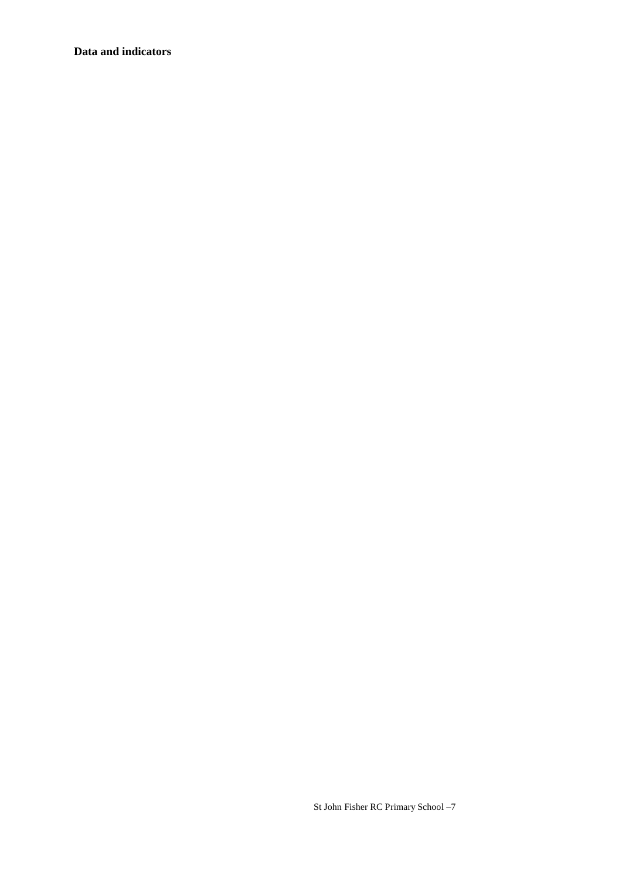### **Data and indicators**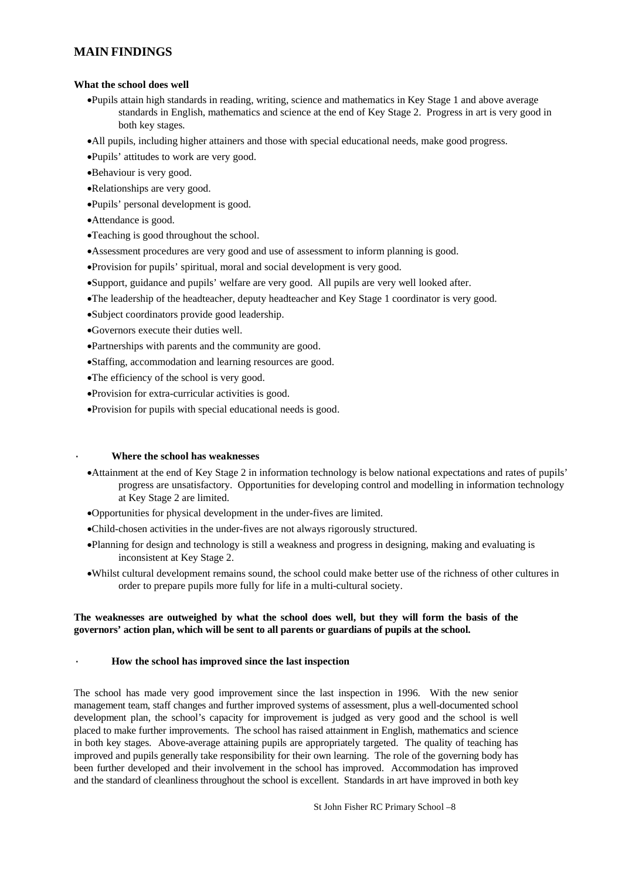### **MAIN FINDINGS**

#### **What the school does well**

- Pupils attain high standards in reading, writing, science and mathematics in Key Stage 1 and above average standards in English, mathematics and science at the end of Key Stage 2. Progress in art is very good in both key stages.
- All pupils, including higher attainers and those with special educational needs, make good progress.
- Pupils' attitudes to work are very good.
- Behaviour is very good.
- Relationships are very good.
- Pupils' personal development is good.
- Attendance is good.
- Teaching is good throughout the school.
- Assessment procedures are very good and use of assessment to inform planning is good.
- Provision for pupils' spiritual, moral and social development is very good.
- Support, guidance and pupils' welfare are very good. All pupils are very well looked after.
- The leadership of the headteacher, deputy headteacher and Key Stage 1 coordinator is very good.
- Subject coordinators provide good leadership.
- Governors execute their duties well.
- Partnerships with parents and the community are good.
- Staffing, accommodation and learning resources are good.
- The efficiency of the school is very good.
- Provision for extra-curricular activities is good.
- Provision for pupils with special educational needs is good.

#### · **Where the school has weaknesses**

- Attainment at the end of Key Stage 2 in information technology is below national expectations and rates of pupils' progress are unsatisfactory. Opportunities for developing control and modelling in information technology at Key Stage 2 are limited.
- Opportunities for physical development in the under-fives are limited.
- Child-chosen activities in the under-fives are not always rigorously structured.
- Planning for design and technology is still a weakness and progress in designing, making and evaluating is inconsistent at Key Stage 2.
- Whilst cultural development remains sound, the school could make better use of the richness of other cultures in order to prepare pupils more fully for life in a multi-cultural society.

#### **The weaknesses are outweighed by what the school does well, but they will form the basis of the governors' action plan, which will be sent to all parents or guardians of pupils at the school.**

#### · **How the school has improved since the last inspection**

The school has made very good improvement since the last inspection in 1996. With the new senior management team, staff changes and further improved systems of assessment, plus a well-documented school development plan, the school's capacity for improvement is judged as very good and the school is well placed to make further improvements. The school has raised attainment in English, mathematics and science in both key stages. Above-average attaining pupils are appropriately targeted. The quality of teaching has improved and pupils generally take responsibility for their own learning. The role of the governing body has been further developed and their involvement in the school has improved. Accommodation has improved and the standard of cleanliness throughout the school is excellent. Standards in art have improved in both key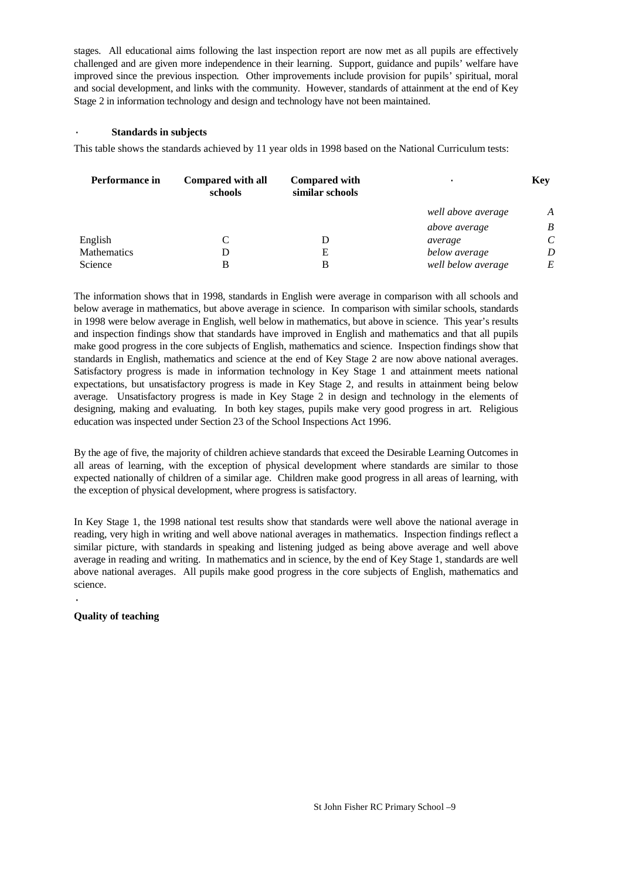stages. All educational aims following the last inspection report are now met as all pupils are effectively challenged and are given more independence in their learning. Support, guidance and pupils' welfare have improved since the previous inspection. Other improvements include provision for pupils' spiritual, moral and social development, and links with the community. However, standards of attainment at the end of Key Stage 2 in information technology and design and technology have not been maintained.

#### · **Standards in subjects**

This table shows the standards achieved by 11 year olds in 1998 based on the National Curriculum tests:

| Performance in | Compared with all<br>schools | <b>Compared with</b><br>similar schools | $\bullet$          | <b>Key</b> |
|----------------|------------------------------|-----------------------------------------|--------------------|------------|
|                |                              |                                         | well above average | A          |
|                |                              |                                         | above average      | B          |
| English        |                              |                                         | average            | $\epsilon$ |
| Mathematics    |                              | Е                                       | below average      | D          |
| Science        |                              | В                                       | well below average | E          |

The information shows that in 1998, standards in English were average in comparison with all schools and below average in mathematics, but above average in science. In comparison with similar schools, standards in 1998 were below average in English, well below in mathematics, but above in science. This year's results and inspection findings show that standards have improved in English and mathematics and that all pupils make good progress in the core subjects of English, mathematics and science. Inspection findings show that standards in English, mathematics and science at the end of Key Stage 2 are now above national averages. Satisfactory progress is made in information technology in Key Stage 1 and attainment meets national expectations, but unsatisfactory progress is made in Key Stage 2, and results in attainment being below average. Unsatisfactory progress is made in Key Stage 2 in design and technology in the elements of designing, making and evaluating. In both key stages, pupils make very good progress in art. Religious education was inspected under Section 23 of the School Inspections Act 1996.

By the age of five, the majority of children achieve standards that exceed the Desirable Learning Outcomes in all areas of learning, with the exception of physical development where standards are similar to those expected nationally of children of a similar age. Children make good progress in all areas of learning, with the exception of physical development, where progress is satisfactory.

In Key Stage 1, the 1998 national test results show that standards were well above the national average in reading, very high in writing and well above national averages in mathematics. Inspection findings reflect a similar picture, with standards in speaking and listening judged as being above average and well above average in reading and writing. In mathematics and in science, by the end of Key Stage 1, standards are well above national averages. All pupils make good progress in the core subjects of English, mathematics and science.

**Quality of teaching**

·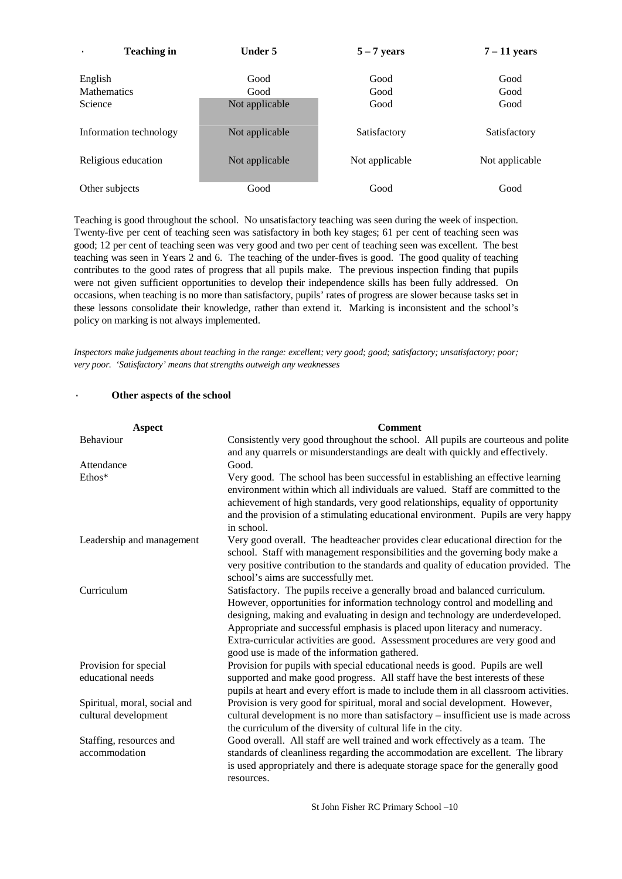| <b>Teaching in</b>            | Under 5        | $5 - 7$ years  | $7 - 11$ years |
|-------------------------------|----------------|----------------|----------------|
| English<br><b>Mathematics</b> | Good<br>Good   | Good<br>Good   | Good<br>Good   |
| Science                       | Not applicable | Good           | Good           |
| Information technology        | Not applicable | Satisfactory   | Satisfactory   |
| Religious education           | Not applicable | Not applicable | Not applicable |
| Other subjects                | Good           | Good           | Good           |

Teaching is good throughout the school. No unsatisfactory teaching was seen during the week of inspection. Twenty-five per cent of teaching seen was satisfactory in both key stages; 61 per cent of teaching seen was good; 12 per cent of teaching seen was very good and two per cent of teaching seen was excellent. The best teaching was seen in Years 2 and 6. The teaching of the under-fives is good. The good quality of teaching contributes to the good rates of progress that all pupils make. The previous inspection finding that pupils were not given sufficient opportunities to develop their independence skills has been fully addressed. On occasions, when teaching is no more than satisfactory, pupils' rates of progress are slower because tasks set in these lessons consolidate their knowledge, rather than extend it. Marking is inconsistent and the school's policy on marking is not always implemented.

*Inspectors make judgements about teaching in the range: excellent; very good; good; satisfactory; unsatisfactory; poor; very poor. 'Satisfactory' means that strengths outweigh any weaknesses*

### St John Fisher RC Primary School –10 Other aspects of the school **Aspect Comment** Behaviour Consistently very good throughout the school. All pupils are courteous and polite and any quarrels or misunderstandings are dealt with quickly and effectively. Attendance Good. Ethos\* Very good. The school has been successful in establishing an effective learning environment within which all individuals are valued. Staff are committed to the achievement of high standards, very good relationships, equality of opportunity and the provision of a stimulating educational environment. Pupils are very happy in school. Leadership and management Very good overall. The headteacher provides clear educational direction for the school. Staff with management responsibilities and the governing body make a very positive contribution to the standards and quality of education provided. The school's aims are successfully met. Curriculum Satisfactory. The pupils receive a generally broad and balanced curriculum. However, opportunities for information technology control and modelling and designing, making and evaluating in design and technology are underdeveloped. Appropriate and successful emphasis is placed upon literacy and numeracy. Extra-curricular activities are good. Assessment procedures are very good and good use is made of the information gathered. Provision for special educational needs Provision for pupils with special educational needs is good. Pupils are well supported and make good progress. All staff have the best interests of these pupils at heart and every effort is made to include them in all classroom activities. Spiritual, moral, social and cultural development Provision is very good for spiritual, moral and social development. However, cultural development is no more than satisfactory – insufficient use is made across the curriculum of the diversity of cultural life in the city. Staffing, resources and accommodation Good overall. All staff are well trained and work effectively as a team. The standards of cleanliness regarding the accommodation are excellent. The library is used appropriately and there is adequate storage space for the generally good resources.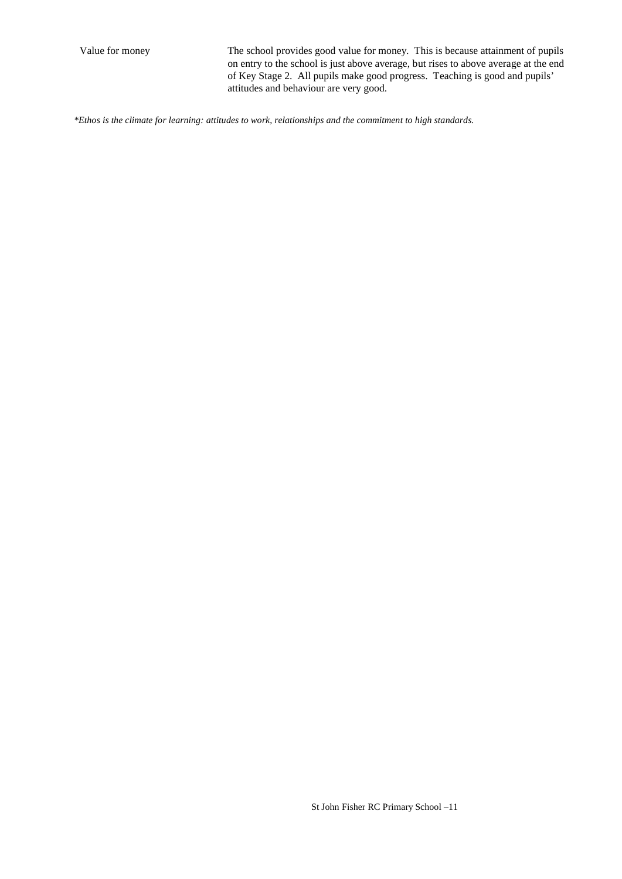Value for money The school provides good value for money. This is because attainment of pupils on entry to the school is just above average, but rises to above average at the end of Key Stage 2. All pupils make good progress. Teaching is good and pupils' attitudes and behaviour are very good.

*\*Ethos is the climate for learning: attitudes to work, relationships and the commitment to high standards.*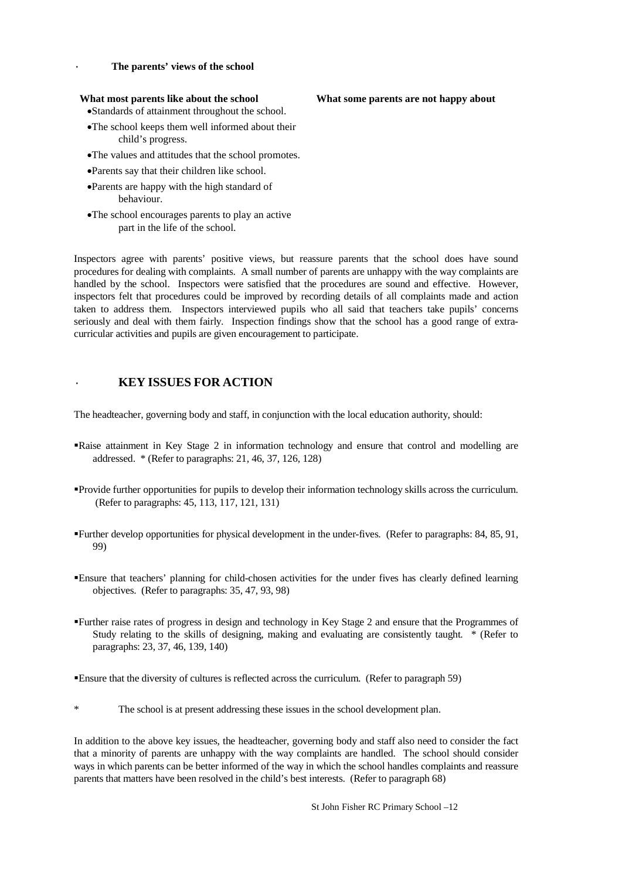#### The parents' views of the school

#### **What most parents like about the school What some parents are not happy about**

Standards of attainment throughout the school.

- The school keeps them well informed about their child's progress.
- The values and attitudes that the school promotes.
- Parents say that their children like school.
- Parents are happy with the high standard of behaviour.
- The school encourages parents to play an active part in the life of the school.

Inspectors agree with parents' positive views, but reassure parents that the school does have sound procedures for dealing with complaints. A small number of parents are unhappy with the way complaints are handled by the school. Inspectors were satisfied that the procedures are sound and effective. However, inspectors felt that procedures could be improved by recording details of all complaints made and action taken to address them. Inspectors interviewed pupils who all said that teachers take pupils' concerns seriously and deal with them fairly. Inspection findings show that the school has a good range of extracurricular activities and pupils are given encouragement to participate.

#### · **KEY ISSUES FOR ACTION**

The headteacher, governing body and staff, in conjunction with the local education authority, should:

- Raise attainment in Key Stage 2 in information technology and ensure that control and modelling are addressed. \* (Refer to paragraphs: 21, 46, 37, 126, 128)
- Provide further opportunities for pupils to develop their information technology skills across the curriculum. (Refer to paragraphs: 45, 113, 117, 121, 131)
- Further develop opportunities for physical development in the under-fives. (Refer to paragraphs: 84, 85, 91, 99)
- Ensure that teachers' planning for child-chosen activities for the under fives has clearly defined learning objectives. (Refer to paragraphs: 35, 47, 93, 98)
- Further raise rates of progress in design and technology in Key Stage 2 and ensure that the Programmes of Study relating to the skills of designing, making and evaluating are consistently taught. \* (Refer to paragraphs: 23, 37, 46, 139, 140)

Ensure that the diversity of cultures is reflected across the curriculum. (Refer to paragraph 59)

The school is at present addressing these issues in the school development plan.

In addition to the above key issues, the headteacher, governing body and staff also need to consider the fact that a minority of parents are unhappy with the way complaints are handled. The school should consider ways in which parents can be better informed of the way in which the school handles complaints and reassure parents that matters have been resolved in the child's best interests. (Refer to paragraph 68)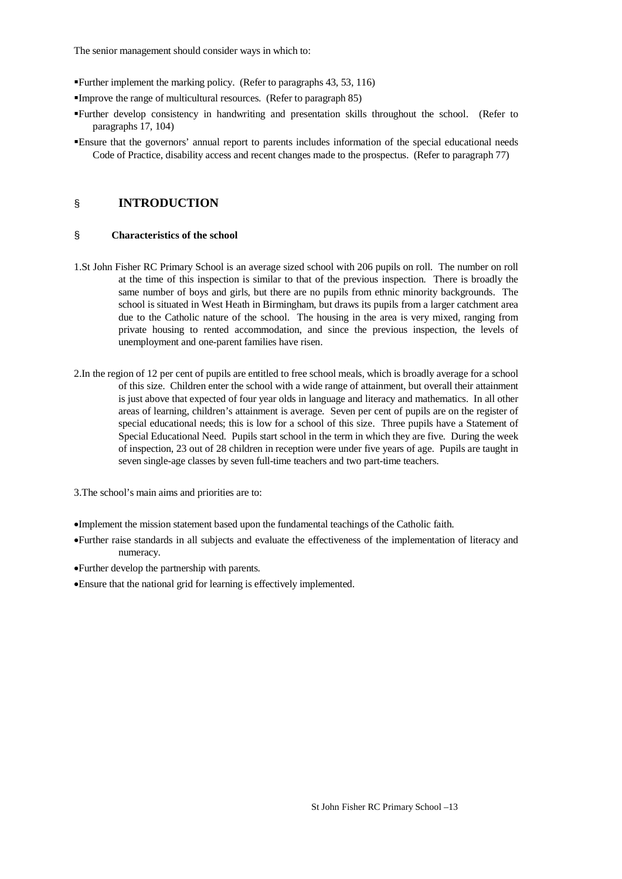The senior management should consider ways in which to:

- Further implement the marking policy. (Refer to paragraphs 43, 53, 116)
- Improve the range of multicultural resources. (Refer to paragraph 85)
- Further develop consistency in handwriting and presentation skills throughout the school. (Refer to paragraphs 17, 104)
- Ensure that the governors' annual report to parents includes information of the special educational needs Code of Practice, disability access and recent changes made to the prospectus. (Refer to paragraph 77)

### § **INTRODUCTION**

#### § **Characteristics of the school**

- 1.St John Fisher RC Primary School is an average sized school with 206 pupils on roll. The number on roll at the time of this inspection is similar to that of the previous inspection. There is broadly the same number of boys and girls, but there are no pupils from ethnic minority backgrounds. The school is situated in West Heath in Birmingham, but draws its pupils from a larger catchment area due to the Catholic nature of the school. The housing in the area is very mixed, ranging from private housing to rented accommodation, and since the previous inspection, the levels of unemployment and one-parent families have risen.
- 2.In the region of 12 per cent of pupils are entitled to free school meals, which is broadly average for a school of this size. Children enter the school with a wide range of attainment, but overall their attainment is just above that expected of four year olds in language and literacy and mathematics. In all other areas of learning, children's attainment is average. Seven per cent of pupils are on the register of special educational needs; this is low for a school of this size. Three pupils have a Statement of Special Educational Need. Pupils start school in the term in which they are five. During the week of inspection, 23 out of 28 children in reception were under five years of age. Pupils are taught in seven single-age classes by seven full-time teachers and two part-time teachers.
- 3.The school's main aims and priorities are to:
- Implement the mission statement based upon the fundamental teachings of the Catholic faith.
- Further raise standards in all subjects and evaluate the effectiveness of the implementation of literacy and numeracy.
- Further develop the partnership with parents.
- Ensure that the national grid for learning is effectively implemented.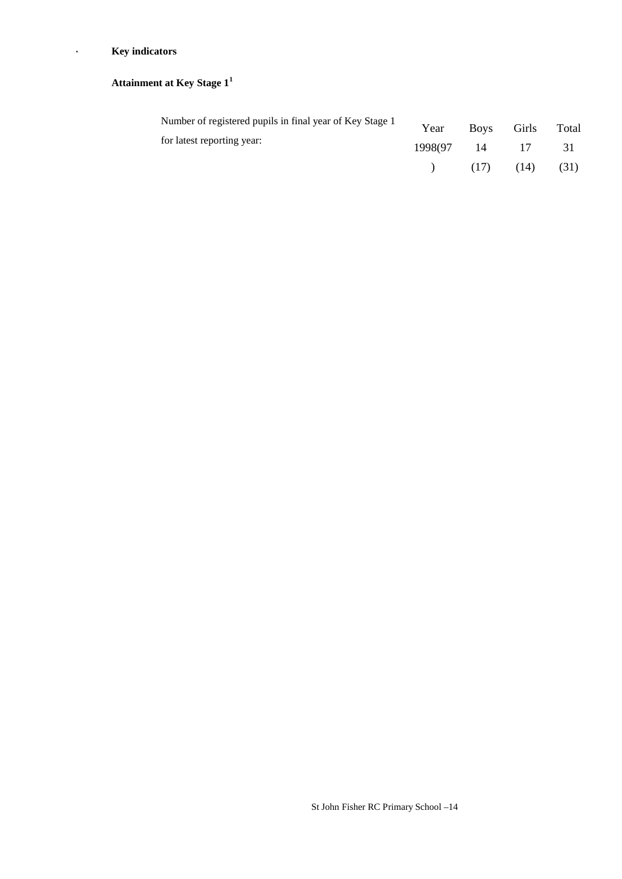### · **Key indicators**

# **Attainment at Key Stage 1<sup>1</sup>**

| Number of registered pupils in final year of Key Stage 1 | Year             | Boys Girls Total |      |
|----------------------------------------------------------|------------------|------------------|------|
| for latest reporting year:                               | 1998(97 14 17 31 |                  |      |
|                                                          |                  | $(17)$ $(14)$    | (31) |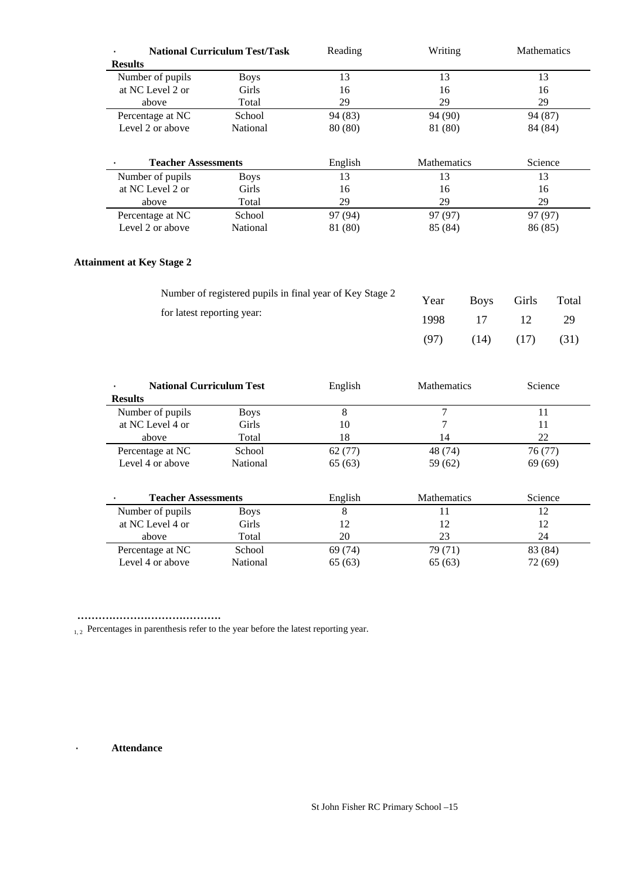|                            | <b>National Curriculum Test/Task</b> | Reading | Writing            | <b>Mathematics</b> |
|----------------------------|--------------------------------------|---------|--------------------|--------------------|
| <b>Results</b>             |                                      |         |                    |                    |
| Number of pupils           | <b>Boys</b>                          | 13      | 13                 | 13                 |
| at NC Level 2 or           | Girls                                | 16      | 16                 | 16                 |
| above                      | Total                                | 29      | 29                 | 29                 |
| Percentage at NC           | School                               | 94 (83) | 94 (90)            | 94 (87)            |
| Level 2 or above           | <b>National</b>                      | 80 (80) | 81 (80)            | 84 (84)            |
|                            |                                      |         |                    |                    |
|                            |                                      |         |                    |                    |
| <b>Teacher Assessments</b> |                                      | English | <b>Mathematics</b> | Science            |
| Number of pupils           | <b>Boys</b>                          | 13      | 13                 | 13                 |
| at NC Level 2 or           | Girls                                | 16      | 16                 | 16                 |
| above                      | Total                                | 29      | 29                 | 29                 |
| Percentage at NC           | School                               | 97 (94) | 97 (97)            | 97 (97)            |
| Level 2 or above           | National                             | 81 (80) | 85 (84)            | 86 (85)            |

# **Attainment at Key Stage 2**

| Number of registered pupils in final year of Key Stage 2 | Year |      | Boys Girls Total |      |
|----------------------------------------------------------|------|------|------------------|------|
| for latest reporting year:                               | 1998 | 17   | 12.              | -29  |
|                                                          | (97) | (14) | (17)             | (31) |

| <b>National Curriculum Test</b> |             | English | <b>Mathematics</b> | Science |
|---------------------------------|-------------|---------|--------------------|---------|
| <b>Results</b>                  |             |         |                    |         |
| Number of pupils                | <b>Boys</b> | 8       | 7                  | 11      |
| at NC Level 4 or                | Girls       | 10      |                    | 11      |
| above                           | Total       | 18      | 14                 | 22      |
| Percentage at NC                | School      | 62(77)  | 48 (74)            | 76(77)  |
| Level 4 or above                | National    | 65(63)  | 59 (62)            | 69(69)  |
| <b>Teacher Assessments</b>      |             |         | <b>Mathematics</b> | Science |
|                                 |             | English |                    |         |
| Number of pupils                | <b>Boys</b> | 8       | 11                 | 12      |
| at NC Level 4 or                | Girls       | 12      | 12                 | 12      |
| above                           | Total       | 20      | 23                 | 24      |
| Percentage at NC                | School      | 69 (74) | 79 (71)            | 83 (84) |
| Level 4 or above                | National    | 65(63)  | 65(63)             | 72 (69) |

.........................................

 $_{1, 2}$  Percentages in parenthesis refer to the year before the latest reporting year.

· **Attendance**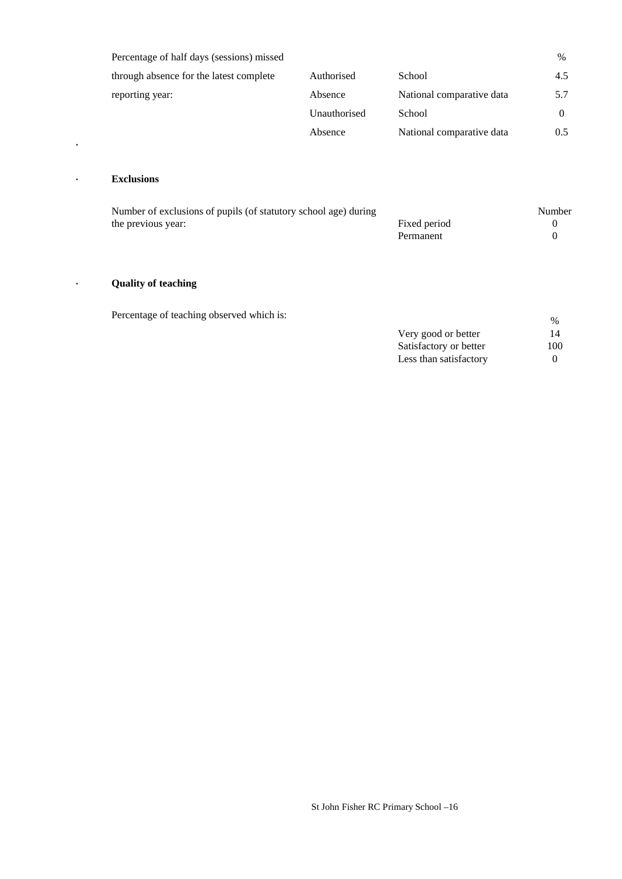| Percentage of half days (sessions) missed |              |                           | %        |
|-------------------------------------------|--------------|---------------------------|----------|
| through absence for the latest complete   | Authorised   | School                    | 4.5      |
| reporting year:                           | Absence      | National comparative data | 5.7      |
|                                           | Unauthorised | School                    | $\theta$ |
|                                           | Absence      | National comparative data | 0.5      |

### · **Exclusions**

·

| Number of exclusions of pupils (of statutory school age) during |              | Number |
|-----------------------------------------------------------------|--------------|--------|
| the previous year:                                              | Fixed period |        |
|                                                                 | Permanent    |        |

### · **Quality of teaching**

Percentage of teaching observed which is:  $\frac{96}{6}$ 

| Very good or better    | 14                |
|------------------------|-------------------|
| Satisfactory or better | 100               |
| Less than satisfactory | $\mathbf{\Omega}$ |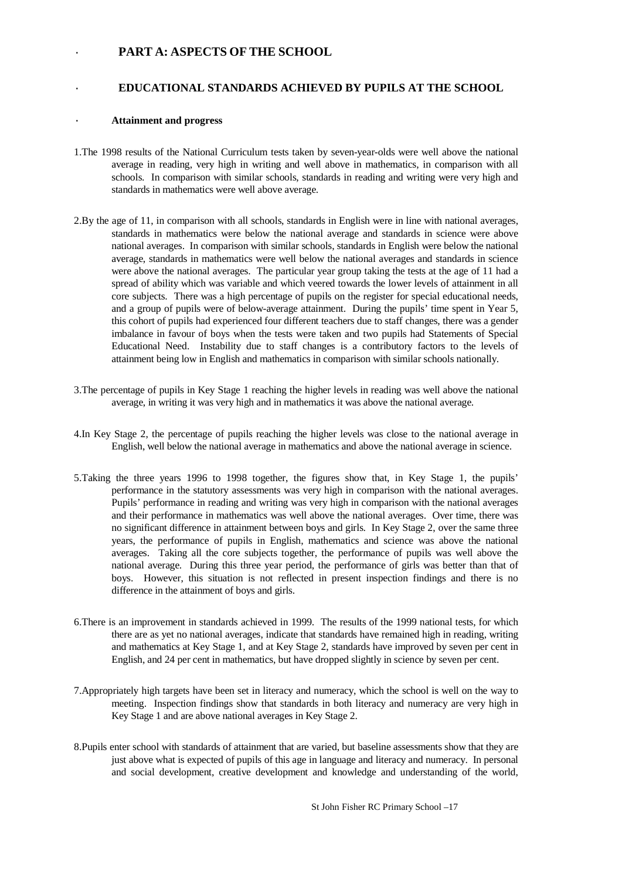### · **PART A: ASPECTS OF THE SCHOOL**

#### · **EDUCATIONAL STANDARDS ACHIEVED BY PUPILS AT THE SCHOOL**

#### · **Attainment and progress**

- 1.The 1998 results of the National Curriculum tests taken by seven-year-olds were well above the national average in reading, very high in writing and well above in mathematics, in comparison with all schools. In comparison with similar schools, standards in reading and writing were very high and standards in mathematics were well above average.
- 2.By the age of 11, in comparison with all schools, standards in English were in line with national averages, standards in mathematics were below the national average and standards in science were above national averages. In comparison with similar schools, standards in English were below the national average, standards in mathematics were well below the national averages and standards in science were above the national averages. The particular year group taking the tests at the age of 11 had a spread of ability which was variable and which veered towards the lower levels of attainment in all core subjects. There was a high percentage of pupils on the register for special educational needs, and a group of pupils were of below-average attainment. During the pupils' time spent in Year 5, this cohort of pupils had experienced four different teachers due to staff changes, there was a gender imbalance in favour of boys when the tests were taken and two pupils had Statements of Special Educational Need. Instability due to staff changes is a contributory factors to the levels of attainment being low in English and mathematics in comparison with similar schools nationally.
- 3.The percentage of pupils in Key Stage 1 reaching the higher levels in reading was well above the national average, in writing it was very high and in mathematics it was above the national average.
- 4.In Key Stage 2, the percentage of pupils reaching the higher levels was close to the national average in English, well below the national average in mathematics and above the national average in science.
- 5.Taking the three years 1996 to 1998 together, the figures show that, in Key Stage 1, the pupils' performance in the statutory assessments was very high in comparison with the national averages. Pupils' performance in reading and writing was very high in comparison with the national averages and their performance in mathematics was well above the national averages. Over time, there was no significant difference in attainment between boys and girls. In Key Stage 2, over the same three years, the performance of pupils in English, mathematics and science was above the national averages. Taking all the core subjects together, the performance of pupils was well above the national average. During this three year period, the performance of girls was better than that of boys. However, this situation is not reflected in present inspection findings and there is no difference in the attainment of boys and girls.
- 6.There is an improvement in standards achieved in 1999. The results of the 1999 national tests, for which there are as yet no national averages, indicate that standards have remained high in reading, writing and mathematics at Key Stage 1, and at Key Stage 2, standards have improved by seven per cent in English, and 24 per cent in mathematics, but have dropped slightly in science by seven per cent.
- 7.Appropriately high targets have been set in literacy and numeracy, which the school is well on the way to meeting. Inspection findings show that standards in both literacy and numeracy are very high in Key Stage 1 and are above national averages in Key Stage 2.
- 8.Pupils enter school with standards of attainment that are varied, but baseline assessments show that they are just above what is expected of pupils of this age in language and literacy and numeracy. In personal and social development, creative development and knowledge and understanding of the world,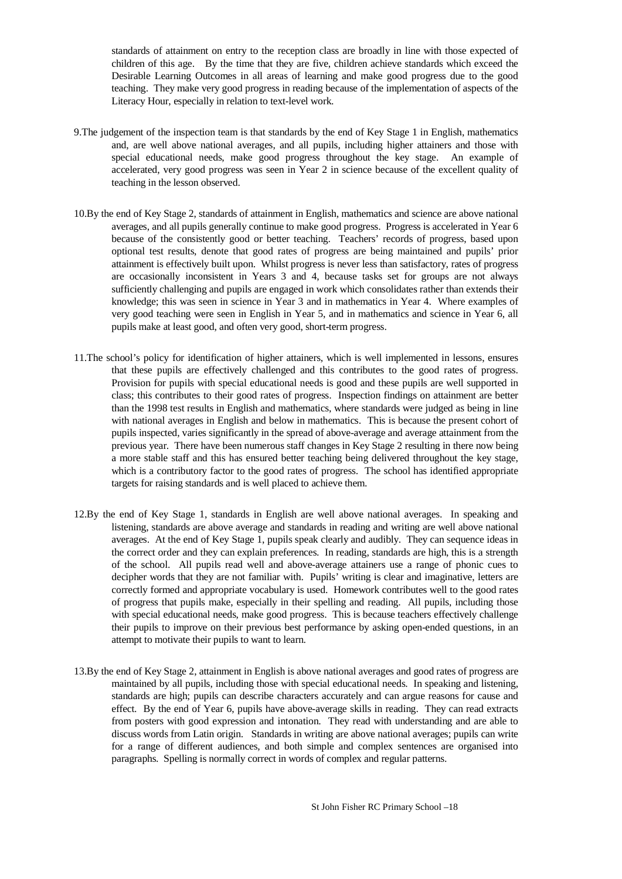standards of attainment on entry to the reception class are broadly in line with those expected of children of this age. By the time that they are five, children achieve standards which exceed the Desirable Learning Outcomes in all areas of learning and make good progress due to the good teaching. They make very good progress in reading because of the implementation of aspects of the Literacy Hour, especially in relation to text-level work.

- 9.The judgement of the inspection team is that standards by the end of Key Stage 1 in English, mathematics and, are well above national averages, and all pupils, including higher attainers and those with special educational needs, make good progress throughout the key stage. An example of accelerated, very good progress was seen in Year 2 in science because of the excellent quality of teaching in the lesson observed.
- 10.By the end of Key Stage 2, standards of attainment in English, mathematics and science are above national averages, and all pupils generally continue to make good progress. Progress is accelerated in Year 6 because of the consistently good or better teaching. Teachers' records of progress, based upon optional test results, denote that good rates of progress are being maintained and pupils' prior attainment is effectively built upon. Whilst progress is never less than satisfactory, rates of progress are occasionally inconsistent in Years 3 and 4, because tasks set for groups are not always sufficiently challenging and pupils are engaged in work which consolidates rather than extends their knowledge; this was seen in science in Year 3 and in mathematics in Year 4. Where examples of very good teaching were seen in English in Year 5, and in mathematics and science in Year 6, all pupils make at least good, and often very good, short-term progress.
- 11.The school's policy for identification of higher attainers, which is well implemented in lessons, ensures that these pupils are effectively challenged and this contributes to the good rates of progress. Provision for pupils with special educational needs is good and these pupils are well supported in class; this contributes to their good rates of progress. Inspection findings on attainment are better than the 1998 test results in English and mathematics, where standards were judged as being in line with national averages in English and below in mathematics. This is because the present cohort of pupils inspected, varies significantly in the spread of above-average and average attainment from the previous year. There have been numerous staff changes in Key Stage 2 resulting in there now being a more stable staff and this has ensured better teaching being delivered throughout the key stage, which is a contributory factor to the good rates of progress. The school has identified appropriate targets for raising standards and is well placed to achieve them.
- 12.By the end of Key Stage 1, standards in English are well above national averages. In speaking and listening, standards are above average and standards in reading and writing are well above national averages. At the end of Key Stage 1, pupils speak clearly and audibly. They can sequence ideas in the correct order and they can explain preferences. In reading, standards are high, this is a strength of the school. All pupils read well and above-average attainers use a range of phonic cues to decipher words that they are not familiar with. Pupils' writing is clear and imaginative, letters are correctly formed and appropriate vocabulary is used. Homework contributes well to the good rates of progress that pupils make, especially in their spelling and reading. All pupils, including those with special educational needs, make good progress. This is because teachers effectively challenge their pupils to improve on their previous best performance by asking open-ended questions, in an attempt to motivate their pupils to want to learn.
- 13.By the end of Key Stage 2, attainment in English is above national averages and good rates of progress are maintained by all pupils, including those with special educational needs. In speaking and listening, standards are high; pupils can describe characters accurately and can argue reasons for cause and effect. By the end of Year 6, pupils have above-average skills in reading. They can read extracts from posters with good expression and intonation. They read with understanding and are able to discuss words from Latin origin. Standards in writing are above national averages; pupils can write for a range of different audiences, and both simple and complex sentences are organised into paragraphs. Spelling is normally correct in words of complex and regular patterns.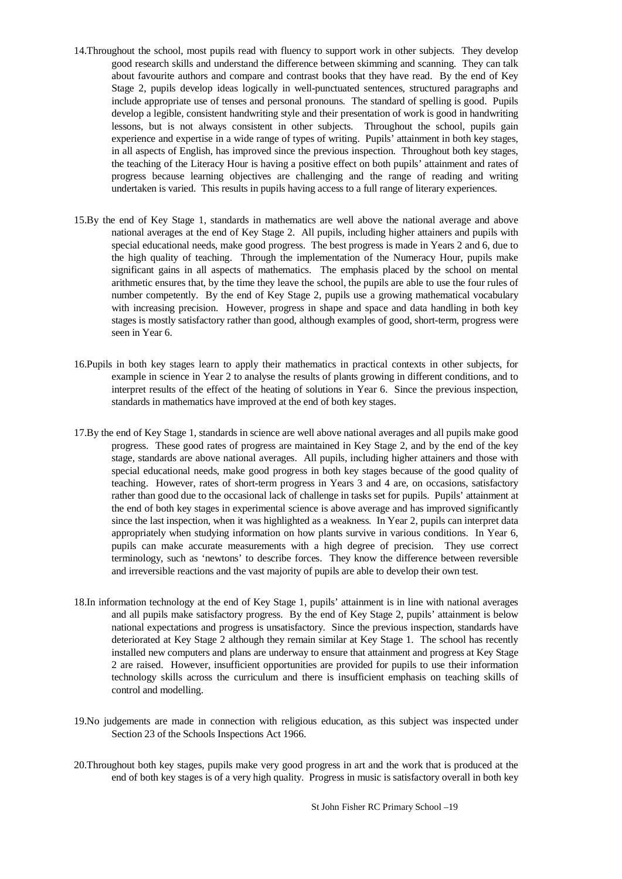- 14.Throughout the school, most pupils read with fluency to support work in other subjects. They develop good research skills and understand the difference between skimming and scanning. They can talk about favourite authors and compare and contrast books that they have read. By the end of Key Stage 2, pupils develop ideas logically in well-punctuated sentences, structured paragraphs and include appropriate use of tenses and personal pronouns. The standard of spelling is good. Pupils develop a legible, consistent handwriting style and their presentation of work is good in handwriting lessons, but is not always consistent in other subjects. Throughout the school, pupils gain experience and expertise in a wide range of types of writing. Pupils' attainment in both key stages, in all aspects of English, has improved since the previous inspection. Throughout both key stages, the teaching of the Literacy Hour is having a positive effect on both pupils' attainment and rates of progress because learning objectives are challenging and the range of reading and writing undertaken is varied. This results in pupils having access to a full range of literary experiences.
- 15.By the end of Key Stage 1, standards in mathematics are well above the national average and above national averages at the end of Key Stage 2. All pupils, including higher attainers and pupils with special educational needs, make good progress. The best progress is made in Years 2 and 6, due to the high quality of teaching. Through the implementation of the Numeracy Hour, pupils make significant gains in all aspects of mathematics. The emphasis placed by the school on mental arithmetic ensures that, by the time they leave the school, the pupils are able to use the four rules of number competently. By the end of Key Stage 2, pupils use a growing mathematical vocabulary with increasing precision. However, progress in shape and space and data handling in both key stages is mostly satisfactory rather than good, although examples of good, short-term, progress were seen in Year 6.
- 16.Pupils in both key stages learn to apply their mathematics in practical contexts in other subjects, for example in science in Year 2 to analyse the results of plants growing in different conditions, and to interpret results of the effect of the heating of solutions in Year 6. Since the previous inspection, standards in mathematics have improved at the end of both key stages.
- 17.By the end of Key Stage 1, standards in science are well above national averages and all pupils make good progress. These good rates of progress are maintained in Key Stage 2, and by the end of the key stage, standards are above national averages. All pupils, including higher attainers and those with special educational needs, make good progress in both key stages because of the good quality of teaching. However, rates of short-term progress in Years 3 and 4 are, on occasions, satisfactory rather than good due to the occasional lack of challenge in tasks set for pupils. Pupils' attainment at the end of both key stages in experimental science is above average and has improved significantly since the last inspection, when it was highlighted as a weakness. In Year 2, pupils can interpret data appropriately when studying information on how plants survive in various conditions. In Year 6, pupils can make accurate measurements with a high degree of precision. They use correct terminology, such as 'newtons' to describe forces. They know the difference between reversible and irreversible reactions and the vast majority of pupils are able to develop their own test.
- 18.In information technology at the end of Key Stage 1, pupils' attainment is in line with national averages and all pupils make satisfactory progress. By the end of Key Stage 2, pupils' attainment is below national expectations and progress is unsatisfactory. Since the previous inspection, standards have deteriorated at Key Stage 2 although they remain similar at Key Stage 1. The school has recently installed new computers and plans are underway to ensure that attainment and progress at Key Stage 2 are raised. However, insufficient opportunities are provided for pupils to use their information technology skills across the curriculum and there is insufficient emphasis on teaching skills of control and modelling.
- 19.No judgements are made in connection with religious education, as this subject was inspected under Section 23 of the Schools Inspections Act 1966.
- 20.Throughout both key stages, pupils make very good progress in art and the work that is produced at the end of both key stages is of a very high quality. Progress in music is satisfactory overall in both key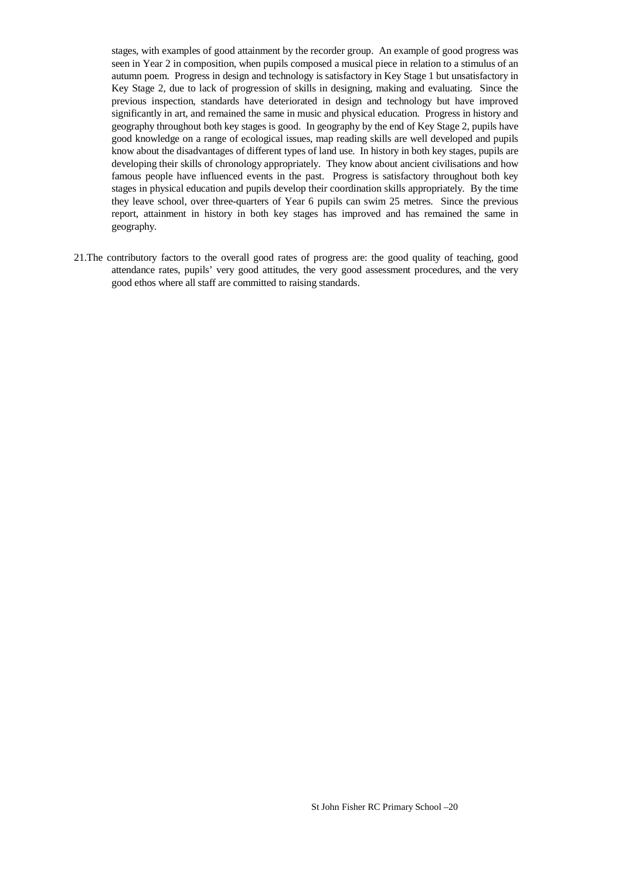stages, with examples of good attainment by the recorder group. An example of good progress was seen in Year 2 in composition, when pupils composed a musical piece in relation to a stimulus of an autumn poem. Progress in design and technology is satisfactory in Key Stage 1 but unsatisfactory in Key Stage 2, due to lack of progression of skills in designing, making and evaluating. Since the previous inspection, standards have deteriorated in design and technology but have improved significantly in art, and remained the same in music and physical education. Progress in history and geography throughout both key stages is good. In geography by the end of Key Stage 2, pupils have good knowledge on a range of ecological issues, map reading skills are well developed and pupils know about the disadvantages of different types of land use. In history in both key stages, pupils are developing their skills of chronology appropriately. They know about ancient civilisations and how famous people have influenced events in the past. Progress is satisfactory throughout both key stages in physical education and pupils develop their coordination skills appropriately. By the time they leave school, over three-quarters of Year 6 pupils can swim 25 metres. Since the previous report, attainment in history in both key stages has improved and has remained the same in geography.

21.The contributory factors to the overall good rates of progress are: the good quality of teaching, good attendance rates, pupils' very good attitudes, the very good assessment procedures, and the very good ethos where all staff are committed to raising standards.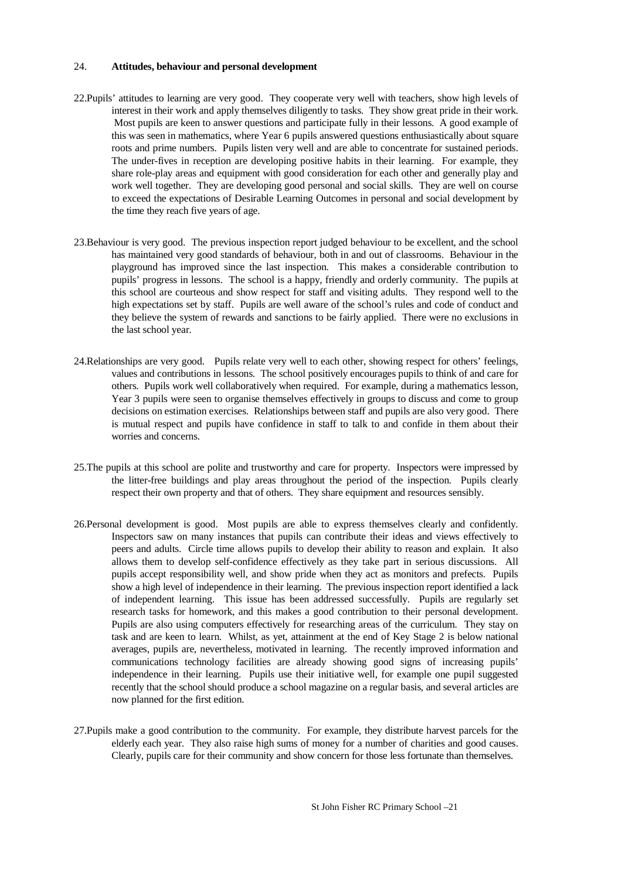#### 24. **Attitudes, behaviour and personal development**

- 22.Pupils' attitudes to learning are very good. They cooperate very well with teachers, show high levels of interest in their work and apply themselves diligently to tasks. They show great pride in their work. Most pupils are keen to answer questions and participate fully in their lessons. A good example of this was seen in mathematics, where Year 6 pupils answered questions enthusiastically about square roots and prime numbers. Pupils listen very well and are able to concentrate for sustained periods. The under-fives in reception are developing positive habits in their learning. For example, they share role-play areas and equipment with good consideration for each other and generally play and work well together. They are developing good personal and social skills. They are well on course to exceed the expectations of Desirable Learning Outcomes in personal and social development by the time they reach five years of age.
- 23.Behaviour is very good. The previous inspection report judged behaviour to be excellent, and the school has maintained very good standards of behaviour, both in and out of classrooms. Behaviour in the playground has improved since the last inspection. This makes a considerable contribution to pupils' progress in lessons. The school is a happy, friendly and orderly community. The pupils at this school are courteous and show respect for staff and visiting adults. They respond well to the high expectations set by staff. Pupils are well aware of the school's rules and code of conduct and they believe the system of rewards and sanctions to be fairly applied. There were no exclusions in the last school year.
- 24.Relationships are very good. Pupils relate very well to each other, showing respect for others' feelings, values and contributions in lessons. The school positively encourages pupils to think of and care for others. Pupils work well collaboratively when required. For example, during a mathematics lesson, Year 3 pupils were seen to organise themselves effectively in groups to discuss and come to group decisions on estimation exercises. Relationships between staff and pupils are also very good. There is mutual respect and pupils have confidence in staff to talk to and confide in them about their worries and concerns.
- 25.The pupils at this school are polite and trustworthy and care for property. Inspectors were impressed by the litter-free buildings and play areas throughout the period of the inspection. Pupils clearly respect their own property and that of others. They share equipment and resources sensibly.
- 26.Personal development is good. Most pupils are able to express themselves clearly and confidently. Inspectors saw on many instances that pupils can contribute their ideas and views effectively to peers and adults. Circle time allows pupils to develop their ability to reason and explain. It also allows them to develop self-confidence effectively as they take part in serious discussions. All pupils accept responsibility well, and show pride when they act as monitors and prefects. Pupils show a high level of independence in their learning. The previous inspection report identified a lack of independent learning. This issue has been addressed successfully. Pupils are regularly set research tasks for homework, and this makes a good contribution to their personal development. Pupils are also using computers effectively for researching areas of the curriculum. They stay on task and are keen to learn. Whilst, as yet, attainment at the end of Key Stage 2 is below national averages, pupils are, nevertheless, motivated in learning. The recently improved information and communications technology facilities are already showing good signs of increasing pupils' independence in their learning. Pupils use their initiative well, for example one pupil suggested recently that the school should produce a school magazine on a regular basis, and several articles are now planned for the first edition.
- 27.Pupils make a good contribution to the community. For example, they distribute harvest parcels for the elderly each year. They also raise high sums of money for a number of charities and good causes. Clearly, pupils care for their community and show concern for those less fortunate than themselves.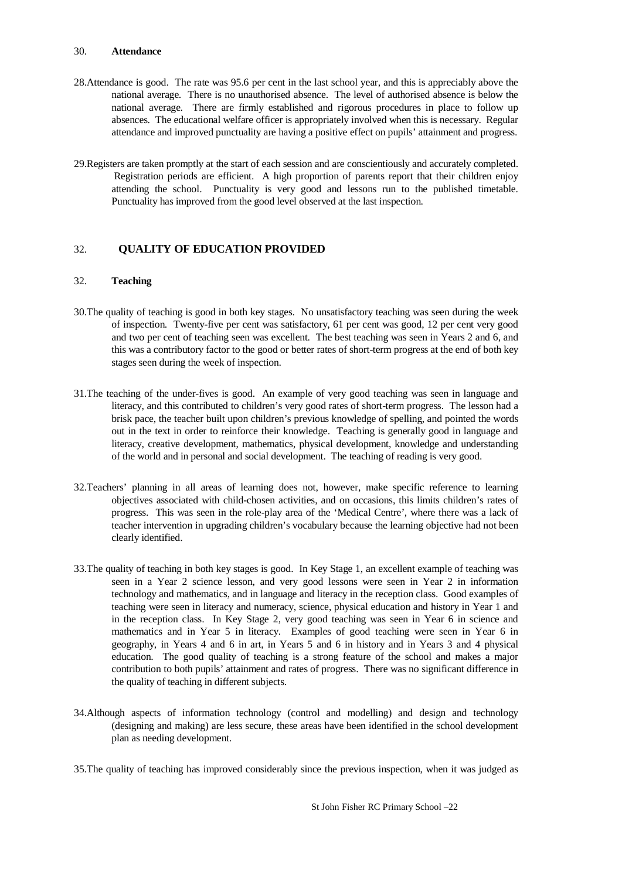#### 30. **Attendance**

- 28.Attendance is good. The rate was 95.6 per cent in the last school year, and this is appreciably above the national average. There is no unauthorised absence. The level of authorised absence is below the national average. There are firmly established and rigorous procedures in place to follow up absences. The educational welfare officer is appropriately involved when this is necessary. Regular attendance and improved punctuality are having a positive effect on pupils' attainment and progress.
- 29.Registers are taken promptly at the start of each session and are conscientiously and accurately completed. Registration periods are efficient. A high proportion of parents report that their children enjoy attending the school. Punctuality is very good and lessons run to the published timetable. Punctuality has improved from the good level observed at the last inspection.

#### 32. **QUALITY OF EDUCATION PROVIDED**

#### 32. **Teaching**

- 30.The quality of teaching is good in both key stages. No unsatisfactory teaching was seen during the week of inspection. Twenty-five per cent was satisfactory, 61 per cent was good, 12 per cent very good and two per cent of teaching seen was excellent. The best teaching was seen in Years 2 and 6, and this was a contributory factor to the good or better rates of short-term progress at the end of both key stages seen during the week of inspection.
- 31.The teaching of the under-fives is good. An example of very good teaching was seen in language and literacy, and this contributed to children's very good rates of short-term progress. The lesson had a brisk pace, the teacher built upon children's previous knowledge of spelling, and pointed the words out in the text in order to reinforce their knowledge. Teaching is generally good in language and literacy, creative development, mathematics, physical development, knowledge and understanding of the world and in personal and social development. The teaching of reading is very good.
- 32.Teachers' planning in all areas of learning does not, however, make specific reference to learning objectives associated with child-chosen activities, and on occasions, this limits children's rates of progress. This was seen in the role-play area of the 'Medical Centre', where there was a lack of teacher intervention in upgrading children's vocabulary because the learning objective had not been clearly identified.
- 33.The quality of teaching in both key stages is good. In Key Stage 1, an excellent example of teaching was seen in a Year 2 science lesson, and very good lessons were seen in Year 2 in information technology and mathematics, and in language and literacy in the reception class. Good examples of teaching were seen in literacy and numeracy, science, physical education and history in Year 1 and in the reception class. In Key Stage 2, very good teaching was seen in Year 6 in science and mathematics and in Year 5 in literacy. Examples of good teaching were seen in Year 6 in geography, in Years 4 and 6 in art, in Years 5 and 6 in history and in Years 3 and 4 physical education. The good quality of teaching is a strong feature of the school and makes a major contribution to both pupils' attainment and rates of progress. There was no significant difference in the quality of teaching in different subjects.
- 34.Although aspects of information technology (control and modelling) and design and technology (designing and making) are less secure, these areas have been identified in the school development plan as needing development.
- 35.The quality of teaching has improved considerably since the previous inspection, when it was judged as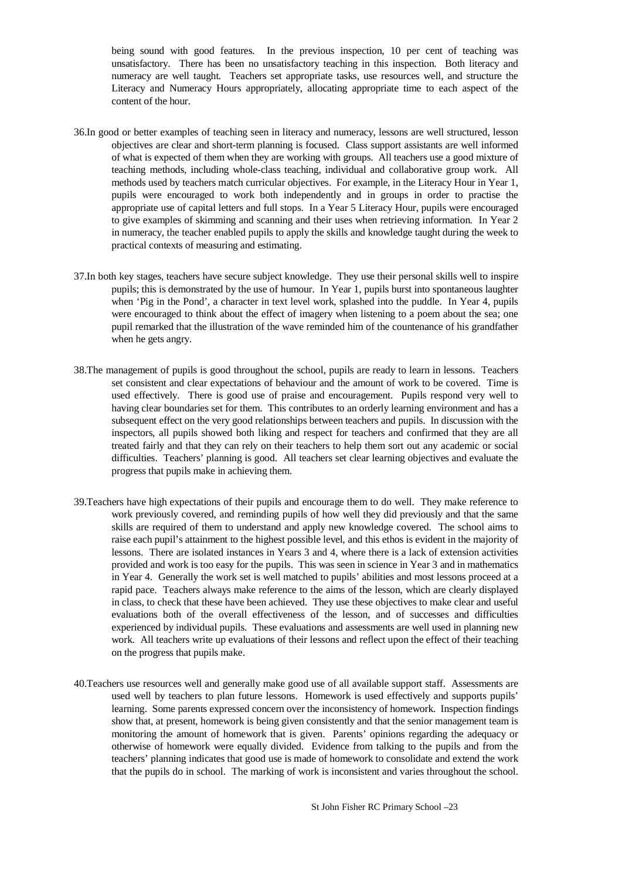being sound with good features. In the previous inspection, 10 per cent of teaching was unsatisfactory. There has been no unsatisfactory teaching in this inspection. Both literacy and numeracy are well taught. Teachers set appropriate tasks, use resources well, and structure the Literacy and Numeracy Hours appropriately, allocating appropriate time to each aspect of the content of the hour.

- 36.In good or better examples of teaching seen in literacy and numeracy, lessons are well structured, lesson objectives are clear and short-term planning is focused. Class support assistants are well informed of what is expected of them when they are working with groups. All teachers use a good mixture of teaching methods, including whole-class teaching, individual and collaborative group work. All methods used by teachers match curricular objectives. For example, in the Literacy Hour in Year 1, pupils were encouraged to work both independently and in groups in order to practise the appropriate use of capital letters and full stops. In a Year 5 Literacy Hour, pupils were encouraged to give examples of skimming and scanning and their uses when retrieving information. In Year 2 in numeracy, the teacher enabled pupils to apply the skills and knowledge taught during the week to practical contexts of measuring and estimating.
- 37.In both key stages, teachers have secure subject knowledge. They use their personal skills well to inspire pupils; this is demonstrated by the use of humour. In Year 1, pupils burst into spontaneous laughter when 'Pig in the Pond', a character in text level work, splashed into the puddle. In Year 4, pupils were encouraged to think about the effect of imagery when listening to a poem about the sea; one pupil remarked that the illustration of the wave reminded him of the countenance of his grandfather when he gets angry.
- 38.The management of pupils is good throughout the school, pupils are ready to learn in lessons. Teachers set consistent and clear expectations of behaviour and the amount of work to be covered. Time is used effectively. There is good use of praise and encouragement. Pupils respond very well to having clear boundaries set for them. This contributes to an orderly learning environment and has a subsequent effect on the very good relationships between teachers and pupils. In discussion with the inspectors, all pupils showed both liking and respect for teachers and confirmed that they are all treated fairly and that they can rely on their teachers to help them sort out any academic or social difficulties. Teachers' planning is good. All teachers set clear learning objectives and evaluate the progress that pupils make in achieving them.
- 39.Teachers have high expectations of their pupils and encourage them to do well. They make reference to work previously covered, and reminding pupils of how well they did previously and that the same skills are required of them to understand and apply new knowledge covered. The school aims to raise each pupil's attainment to the highest possible level, and this ethos is evident in the majority of lessons. There are isolated instances in Years 3 and 4, where there is a lack of extension activities provided and work is too easy for the pupils. This was seen in science in Year 3 and in mathematics in Year 4. Generally the work set is well matched to pupils' abilities and most lessons proceed at a rapid pace. Teachers always make reference to the aims of the lesson, which are clearly displayed in class, to check that these have been achieved. They use these objectives to make clear and useful evaluations both of the overall effectiveness of the lesson, and of successes and difficulties experienced by individual pupils. These evaluations and assessments are well used in planning new work. All teachers write up evaluations of their lessons and reflect upon the effect of their teaching on the progress that pupils make.
- 40.Teachers use resources well and generally make good use of all available support staff. Assessments are used well by teachers to plan future lessons. Homework is used effectively and supports pupils' learning. Some parents expressed concern over the inconsistency of homework. Inspection findings show that, at present, homework is being given consistently and that the senior management team is monitoring the amount of homework that is given. Parents' opinions regarding the adequacy or otherwise of homework were equally divided. Evidence from talking to the pupils and from the teachers' planning indicates that good use is made of homework to consolidate and extend the work that the pupils do in school. The marking of work is inconsistent and varies throughout the school.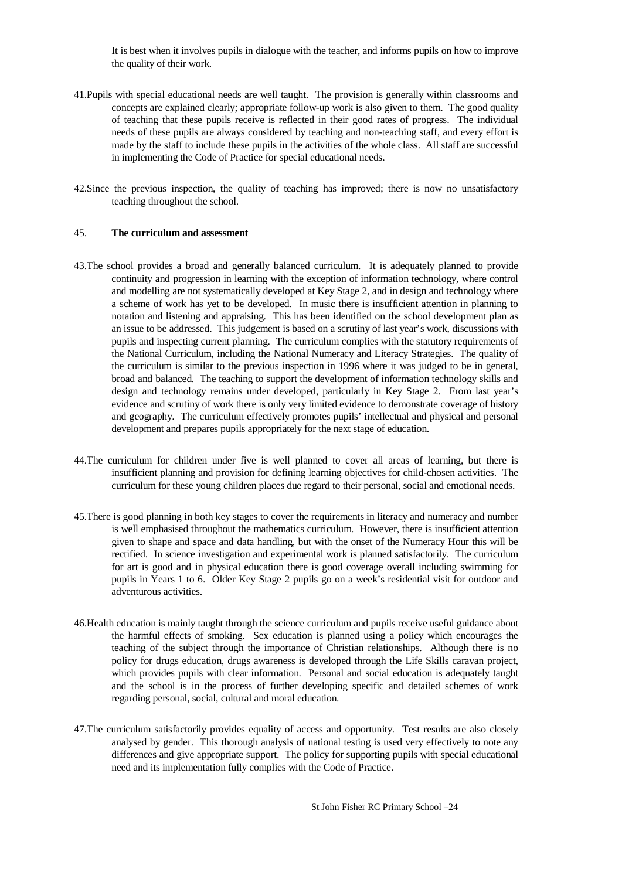It is best when it involves pupils in dialogue with the teacher, and informs pupils on how to improve the quality of their work.

- 41.Pupils with special educational needs are well taught. The provision is generally within classrooms and concepts are explained clearly; appropriate follow-up work is also given to them. The good quality of teaching that these pupils receive is reflected in their good rates of progress. The individual needs of these pupils are always considered by teaching and non-teaching staff, and every effort is made by the staff to include these pupils in the activities of the whole class. All staff are successful in implementing the Code of Practice for special educational needs.
- 42.Since the previous inspection, the quality of teaching has improved; there is now no unsatisfactory teaching throughout the school.

#### 45. **The curriculum and assessment**

- 43.The school provides a broad and generally balanced curriculum. It is adequately planned to provide continuity and progression in learning with the exception of information technology, where control and modelling are not systematically developed at Key Stage 2, and in design and technology where a scheme of work has yet to be developed. In music there is insufficient attention in planning to notation and listening and appraising. This has been identified on the school development plan as an issue to be addressed. This judgement is based on a scrutiny of last year's work, discussions with pupils and inspecting current planning. The curriculum complies with the statutory requirements of the National Curriculum, including the National Numeracy and Literacy Strategies. The quality of the curriculum is similar to the previous inspection in 1996 where it was judged to be in general, broad and balanced. The teaching to support the development of information technology skills and design and technology remains under developed, particularly in Key Stage 2. From last year's evidence and scrutiny of work there is only very limited evidence to demonstrate coverage of history and geography. The curriculum effectively promotes pupils' intellectual and physical and personal development and prepares pupils appropriately for the next stage of education.
- 44.The curriculum for children under five is well planned to cover all areas of learning, but there is insufficient planning and provision for defining learning objectives for child-chosen activities. The curriculum for these young children places due regard to their personal, social and emotional needs.
- 45.There is good planning in both key stages to cover the requirements in literacy and numeracy and number is well emphasised throughout the mathematics curriculum. However, there is insufficient attention given to shape and space and data handling, but with the onset of the Numeracy Hour this will be rectified. In science investigation and experimental work is planned satisfactorily. The curriculum for art is good and in physical education there is good coverage overall including swimming for pupils in Years 1 to 6. Older Key Stage 2 pupils go on a week's residential visit for outdoor and adventurous activities.
- 46.Health education is mainly taught through the science curriculum and pupils receive useful guidance about the harmful effects of smoking. Sex education is planned using a policy which encourages the teaching of the subject through the importance of Christian relationships. Although there is no policy for drugs education, drugs awareness is developed through the Life Skills caravan project, which provides pupils with clear information. Personal and social education is adequately taught and the school is in the process of further developing specific and detailed schemes of work regarding personal, social, cultural and moral education.
- 47.The curriculum satisfactorily provides equality of access and opportunity. Test results are also closely analysed by gender. This thorough analysis of national testing is used very effectively to note any differences and give appropriate support. The policy for supporting pupils with special educational need and its implementation fully complies with the Code of Practice.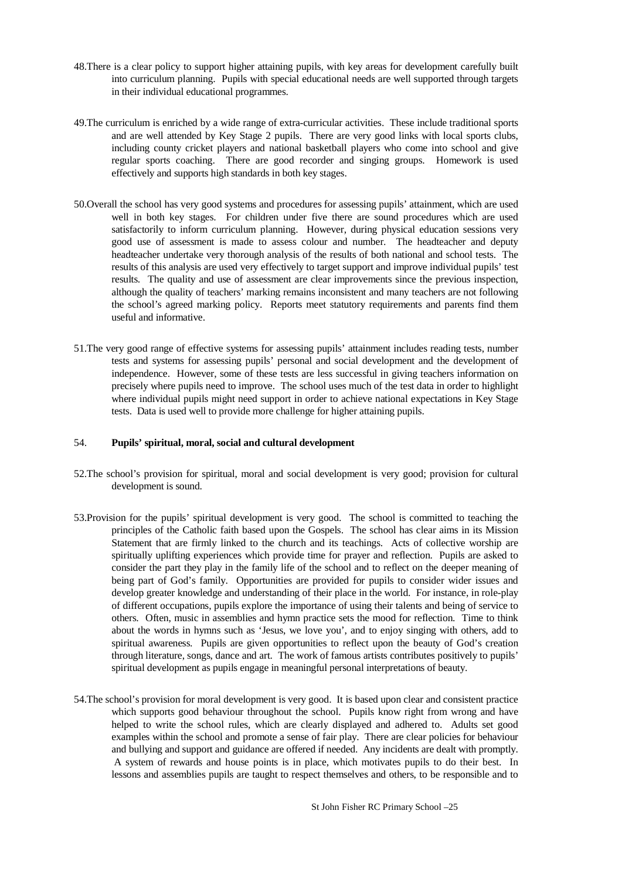- 48.There is a clear policy to support higher attaining pupils, with key areas for development carefully built into curriculum planning. Pupils with special educational needs are well supported through targets in their individual educational programmes.
- 49.The curriculum is enriched by a wide range of extra-curricular activities. These include traditional sports and are well attended by Key Stage 2 pupils. There are very good links with local sports clubs, including county cricket players and national basketball players who come into school and give regular sports coaching. There are good recorder and singing groups. Homework is used effectively and supports high standards in both key stages.
- 50.Overall the school has very good systems and procedures for assessing pupils' attainment, which are used well in both key stages. For children under five there are sound procedures which are used satisfactorily to inform curriculum planning. However, during physical education sessions very good use of assessment is made to assess colour and number. The headteacher and deputy headteacher undertake very thorough analysis of the results of both national and school tests. The results of this analysis are used very effectively to target support and improve individual pupils' test results. The quality and use of assessment are clear improvements since the previous inspection, although the quality of teachers' marking remains inconsistent and many teachers are not following the school's agreed marking policy. Reports meet statutory requirements and parents find them useful and informative.
- 51.The very good range of effective systems for assessing pupils' attainment includes reading tests, number tests and systems for assessing pupils' personal and social development and the development of independence. However, some of these tests are less successful in giving teachers information on precisely where pupils need to improve. The school uses much of the test data in order to highlight where individual pupils might need support in order to achieve national expectations in Key Stage tests. Data is used well to provide more challenge for higher attaining pupils.

#### 54. **Pupils' spiritual, moral, social and cultural development**

- 52.The school's provision for spiritual, moral and social development is very good; provision for cultural development is sound.
- 53.Provision for the pupils' spiritual development is very good. The school is committed to teaching the principles of the Catholic faith based upon the Gospels. The school has clear aims in its Mission Statement that are firmly linked to the church and its teachings. Acts of collective worship are spiritually uplifting experiences which provide time for prayer and reflection. Pupils are asked to consider the part they play in the family life of the school and to reflect on the deeper meaning of being part of God's family. Opportunities are provided for pupils to consider wider issues and develop greater knowledge and understanding of their place in the world. For instance, in role-play of different occupations, pupils explore the importance of using their talents and being of service to others. Often, music in assemblies and hymn practice sets the mood for reflection. Time to think about the words in hymns such as 'Jesus, we love you', and to enjoy singing with others, add to spiritual awareness. Pupils are given opportunities to reflect upon the beauty of God's creation through literature, songs, dance and art. The work of famous artists contributes positively to pupils' spiritual development as pupils engage in meaningful personal interpretations of beauty.
- 54.The school's provision for moral development is very good. It is based upon clear and consistent practice which supports good behaviour throughout the school. Pupils know right from wrong and have helped to write the school rules, which are clearly displayed and adhered to. Adults set good examples within the school and promote a sense of fair play. There are clear policies for behaviour and bullying and support and guidance are offered if needed. Any incidents are dealt with promptly. A system of rewards and house points is in place, which motivates pupils to do their best. In lessons and assemblies pupils are taught to respect themselves and others, to be responsible and to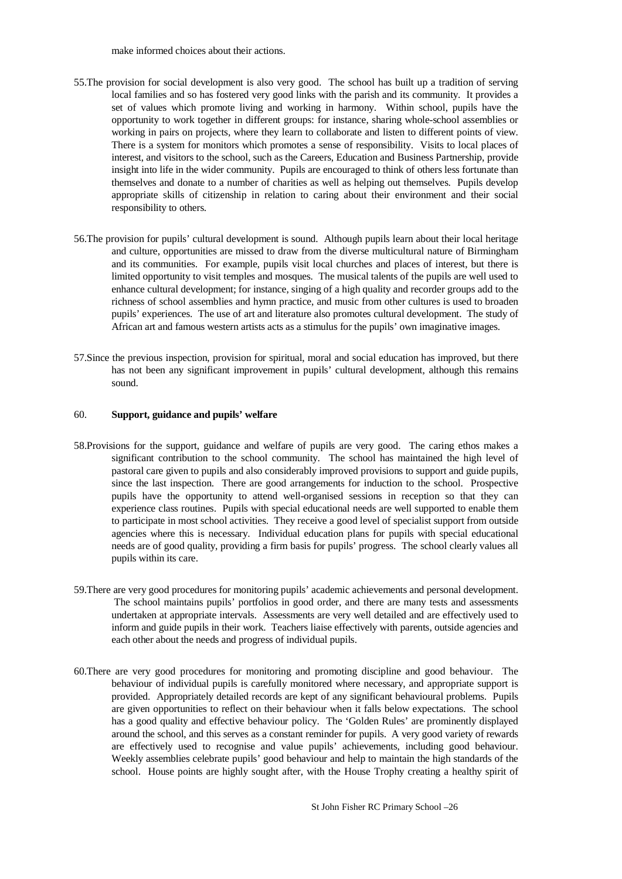make informed choices about their actions.

- 55.The provision for social development is also very good. The school has built up a tradition of serving local families and so has fostered very good links with the parish and its community. It provides a set of values which promote living and working in harmony. Within school, pupils have the opportunity to work together in different groups: for instance, sharing whole-school assemblies or working in pairs on projects, where they learn to collaborate and listen to different points of view. There is a system for monitors which promotes a sense of responsibility. Visits to local places of interest, and visitors to the school, such as the Careers, Education and Business Partnership, provide insight into life in the wider community. Pupils are encouraged to think of others less fortunate than themselves and donate to a number of charities as well as helping out themselves. Pupils develop appropriate skills of citizenship in relation to caring about their environment and their social responsibility to others.
- 56.The provision for pupils' cultural development is sound. Although pupils learn about their local heritage and culture, opportunities are missed to draw from the diverse multicultural nature of Birmingham and its communities. For example, pupils visit local churches and places of interest, but there is limited opportunity to visit temples and mosques. The musical talents of the pupils are well used to enhance cultural development; for instance, singing of a high quality and recorder groups add to the richness of school assemblies and hymn practice, and music from other cultures is used to broaden pupils' experiences. The use of art and literature also promotes cultural development. The study of African art and famous western artists acts as a stimulus for the pupils' own imaginative images.
- 57.Since the previous inspection, provision for spiritual, moral and social education has improved, but there has not been any significant improvement in pupils' cultural development, although this remains sound.

#### 60. **Support, guidance and pupils' welfare**

- 58.Provisions for the support, guidance and welfare of pupils are very good. The caring ethos makes a significant contribution to the school community. The school has maintained the high level of pastoral care given to pupils and also considerably improved provisions to support and guide pupils, since the last inspection. There are good arrangements for induction to the school. Prospective pupils have the opportunity to attend well-organised sessions in reception so that they can experience class routines. Pupils with special educational needs are well supported to enable them to participate in most school activities. They receive a good level of specialist support from outside agencies where this is necessary. Individual education plans for pupils with special educational needs are of good quality, providing a firm basis for pupils' progress. The school clearly values all pupils within its care.
- 59.There are very good procedures for monitoring pupils' academic achievements and personal development. The school maintains pupils' portfolios in good order, and there are many tests and assessments undertaken at appropriate intervals. Assessments are very well detailed and are effectively used to inform and guide pupils in their work. Teachers liaise effectively with parents, outside agencies and each other about the needs and progress of individual pupils.
- 60.There are very good procedures for monitoring and promoting discipline and good behaviour. The behaviour of individual pupils is carefully monitored where necessary, and appropriate support is provided. Appropriately detailed records are kept of any significant behavioural problems. Pupils are given opportunities to reflect on their behaviour when it falls below expectations. The school has a good quality and effective behaviour policy. The 'Golden Rules' are prominently displayed around the school, and this serves as a constant reminder for pupils. A very good variety of rewards are effectively used to recognise and value pupils' achievements, including good behaviour. Weekly assemblies celebrate pupils' good behaviour and help to maintain the high standards of the school. House points are highly sought after, with the House Trophy creating a healthy spirit of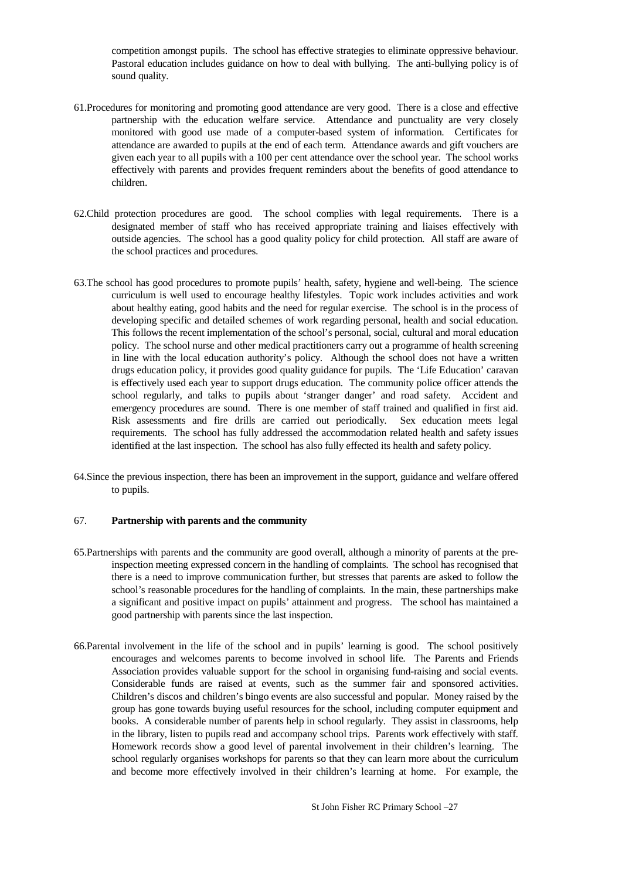competition amongst pupils. The school has effective strategies to eliminate oppressive behaviour. Pastoral education includes guidance on how to deal with bullying. The anti-bullying policy is of sound quality.

- 61.Procedures for monitoring and promoting good attendance are very good. There is a close and effective partnership with the education welfare service. Attendance and punctuality are very closely monitored with good use made of a computer-based system of information. Certificates for attendance are awarded to pupils at the end of each term. Attendance awards and gift vouchers are given each year to all pupils with a 100 per cent attendance over the school year. The school works effectively with parents and provides frequent reminders about the benefits of good attendance to children.
- 62.Child protection procedures are good. The school complies with legal requirements. There is a designated member of staff who has received appropriate training and liaises effectively with outside agencies. The school has a good quality policy for child protection. All staff are aware of the school practices and procedures.
- 63.The school has good procedures to promote pupils' health, safety, hygiene and well-being. The science curriculum is well used to encourage healthy lifestyles. Topic work includes activities and work about healthy eating, good habits and the need for regular exercise. The school is in the process of developing specific and detailed schemes of work regarding personal, health and social education. This follows the recent implementation of the school's personal, social, cultural and moral education policy. The school nurse and other medical practitioners carry out a programme of health screening in line with the local education authority's policy. Although the school does not have a written drugs education policy, it provides good quality guidance for pupils. The 'Life Education' caravan is effectively used each year to support drugs education. The community police officer attends the school regularly, and talks to pupils about 'stranger danger' and road safety. Accident and emergency procedures are sound. There is one member of staff trained and qualified in first aid. Risk assessments and fire drills are carried out periodically. Sex education meets legal requirements. The school has fully addressed the accommodation related health and safety issues identified at the last inspection. The school has also fully effected its health and safety policy.
- 64.Since the previous inspection, there has been an improvement in the support, guidance and welfare offered to pupils.

#### 67. **Partnership with parents and the community**

- 65.Partnerships with parents and the community are good overall, although a minority of parents at the preinspection meeting expressed concern in the handling of complaints. The school has recognised that there is a need to improve communication further, but stresses that parents are asked to follow the school's reasonable procedures for the handling of complaints. In the main, these partnerships make a significant and positive impact on pupils' attainment and progress. The school has maintained a good partnership with parents since the last inspection.
- 66.Parental involvement in the life of the school and in pupils' learning is good. The school positively encourages and welcomes parents to become involved in school life. The Parents and Friends Association provides valuable support for the school in organising fund-raising and social events. Considerable funds are raised at events, such as the summer fair and sponsored activities. Children's discos and children's bingo events are also successful and popular. Money raised by the group has gone towards buying useful resources for the school, including computer equipment and books. A considerable number of parents help in school regularly. They assist in classrooms, help in the library, listen to pupils read and accompany school trips. Parents work effectively with staff. Homework records show a good level of parental involvement in their children's learning. The school regularly organises workshops for parents so that they can learn more about the curriculum and become more effectively involved in their children's learning at home. For example, the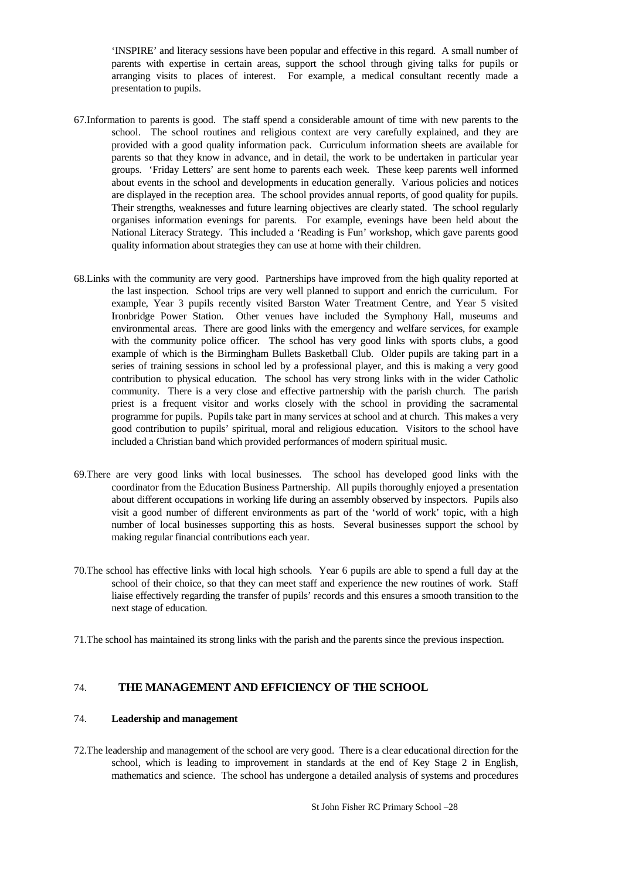'INSPIRE' and literacy sessions have been popular and effective in this regard. A small number of parents with expertise in certain areas, support the school through giving talks for pupils or arranging visits to places of interest. For example, a medical consultant recently made a presentation to pupils.

- 67.Information to parents is good. The staff spend a considerable amount of time with new parents to the school. The school routines and religious context are very carefully explained, and they are provided with a good quality information pack. Curriculum information sheets are available for parents so that they know in advance, and in detail, the work to be undertaken in particular year groups. 'Friday Letters' are sent home to parents each week. These keep parents well informed about events in the school and developments in education generally. Various policies and notices are displayed in the reception area. The school provides annual reports, of good quality for pupils. Their strengths, weaknesses and future learning objectives are clearly stated. The school regularly organises information evenings for parents. For example, evenings have been held about the National Literacy Strategy. This included a 'Reading is Fun' workshop, which gave parents good quality information about strategies they can use at home with their children.
- 68.Links with the community are very good. Partnerships have improved from the high quality reported at the last inspection. School trips are very well planned to support and enrich the curriculum. For example, Year 3 pupils recently visited Barston Water Treatment Centre, and Year 5 visited Ironbridge Power Station. Other venues have included the Symphony Hall, museums and environmental areas. There are good links with the emergency and welfare services, for example with the community police officer. The school has very good links with sports clubs, a good example of which is the Birmingham Bullets Basketball Club. Older pupils are taking part in a series of training sessions in school led by a professional player, and this is making a very good contribution to physical education. The school has very strong links with in the wider Catholic community. There is a very close and effective partnership with the parish church. The parish priest is a frequent visitor and works closely with the school in providing the sacramental programme for pupils. Pupils take part in many services at school and at church. This makes a very good contribution to pupils' spiritual, moral and religious education. Visitors to the school have included a Christian band which provided performances of modern spiritual music.
- 69.There are very good links with local businesses. The school has developed good links with the coordinator from the Education Business Partnership. All pupils thoroughly enjoyed a presentation about different occupations in working life during an assembly observed by inspectors. Pupils also visit a good number of different environments as part of the 'world of work' topic, with a high number of local businesses supporting this as hosts. Several businesses support the school by making regular financial contributions each year.
- 70.The school has effective links with local high schools. Year 6 pupils are able to spend a full day at the school of their choice, so that they can meet staff and experience the new routines of work. Staff liaise effectively regarding the transfer of pupils' records and this ensures a smooth transition to the next stage of education.
- 71.The school has maintained its strong links with the parish and the parents since the previous inspection.

#### 74. **THE MANAGEMENT AND EFFICIENCY OF THE SCHOOL**

#### 74. **Leadership and management**

72.The leadership and management of the school are very good. There is a clear educational direction for the school, which is leading to improvement in standards at the end of Key Stage 2 in English, mathematics and science. The school has undergone a detailed analysis of systems and procedures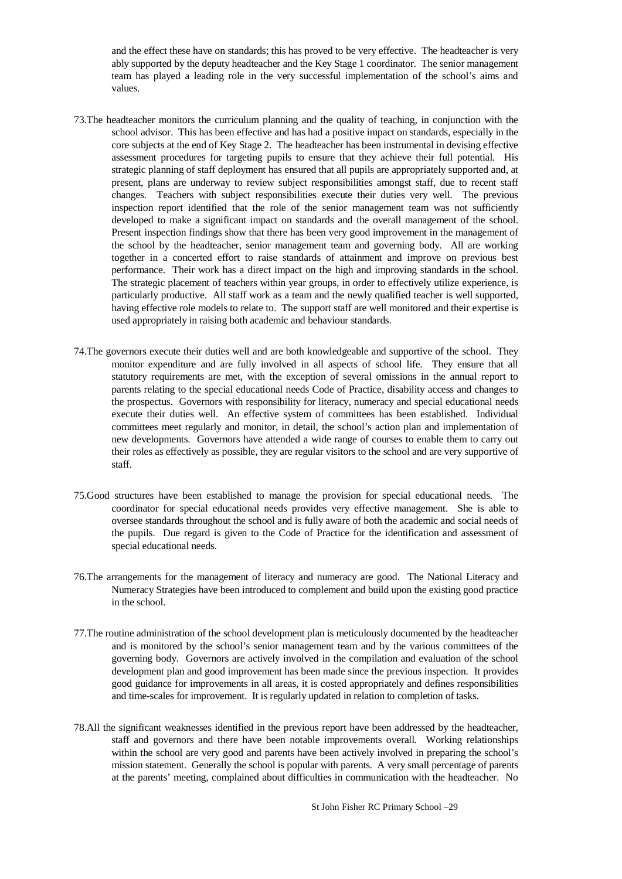and the effect these have on standards; this has proved to be very effective. The headteacher is very ably supported by the deputy headteacher and the Key Stage 1 coordinator. The senior management team has played a leading role in the very successful implementation of the school's aims and values.

- 73.The headteacher monitors the curriculum planning and the quality of teaching, in conjunction with the school advisor. This has been effective and has had a positive impact on standards, especially in the core subjects at the end of Key Stage 2. The headteacher has been instrumental in devising effective assessment procedures for targeting pupils to ensure that they achieve their full potential. His strategic planning of staff deployment has ensured that all pupils are appropriately supported and, at present, plans are underway to review subject responsibilities amongst staff, due to recent staff changes. Teachers with subject responsibilities execute their duties very well. The previous inspection report identified that the role of the senior management team was not sufficiently developed to make a significant impact on standards and the overall management of the school. Present inspection findings show that there has been very good improvement in the management of the school by the headteacher, senior management team and governing body. All are working together in a concerted effort to raise standards of attainment and improve on previous best performance. Their work has a direct impact on the high and improving standards in the school. The strategic placement of teachers within year groups, in order to effectively utilize experience, is particularly productive. All staff work as a team and the newly qualified teacher is well supported, having effective role models to relate to. The support staff are well monitored and their expertise is used appropriately in raising both academic and behaviour standards.
- 74.The governors execute their duties well and are both knowledgeable and supportive of the school. They monitor expenditure and are fully involved in all aspects of school life. They ensure that all statutory requirements are met, with the exception of several omissions in the annual report to parents relating to the special educational needs Code of Practice, disability access and changes to the prospectus. Governors with responsibility for literacy, numeracy and special educational needs execute their duties well. An effective system of committees has been established. Individual committees meet regularly and monitor, in detail, the school's action plan and implementation of new developments. Governors have attended a wide range of courses to enable them to carry out their roles as effectively as possible, they are regular visitors to the school and are very supportive of staff.
- 75.Good structures have been established to manage the provision for special educational needs. The coordinator for special educational needs provides very effective management. She is able to oversee standards throughout the school and is fully aware of both the academic and social needs of the pupils. Due regard is given to the Code of Practice for the identification and assessment of special educational needs.
- 76.The arrangements for the management of literacy and numeracy are good. The National Literacy and Numeracy Strategies have been introduced to complement and build upon the existing good practice in the school.
- 77.The routine administration of the school development plan is meticulously documented by the headteacher and is monitored by the school's senior management team and by the various committees of the governing body. Governors are actively involved in the compilation and evaluation of the school development plan and good improvement has been made since the previous inspection. It provides good guidance for improvements in all areas, it is costed appropriately and defines responsibilities and time-scales for improvement. It is regularly updated in relation to completion of tasks.
- 78.All the significant weaknesses identified in the previous report have been addressed by the headteacher, staff and governors and there have been notable improvements overall. Working relationships within the school are very good and parents have been actively involved in preparing the school's mission statement. Generally the school is popular with parents. A very small percentage of parents at the parents' meeting, complained about difficulties in communication with the headteacher. No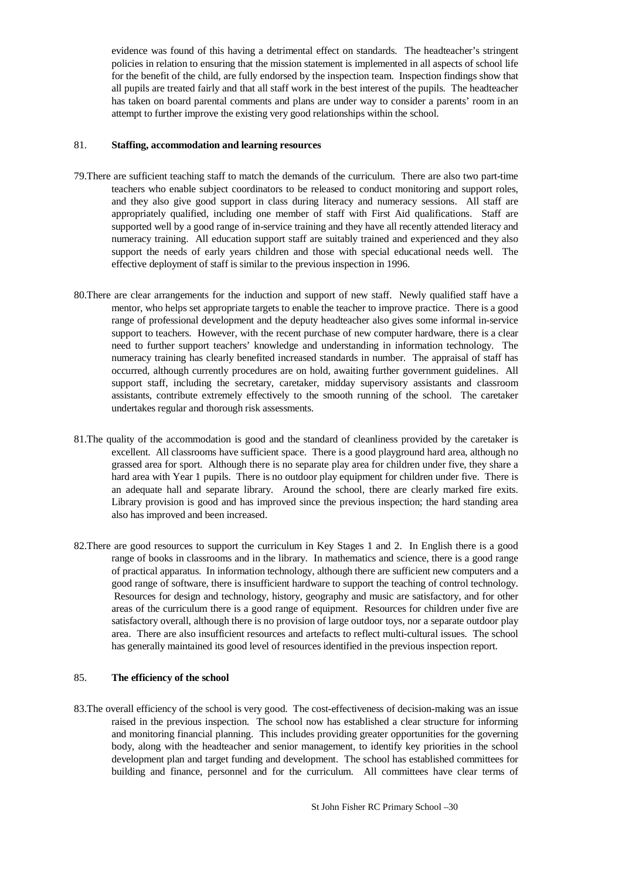evidence was found of this having a detrimental effect on standards. The headteacher's stringent policies in relation to ensuring that the mission statement is implemented in all aspects of school life for the benefit of the child, are fully endorsed by the inspection team. Inspection findings show that all pupils are treated fairly and that all staff work in the best interest of the pupils. The headteacher has taken on board parental comments and plans are under way to consider a parents' room in an attempt to further improve the existing very good relationships within the school.

### 81. **Staffing, accommodation and learning resources**

- 79.There are sufficient teaching staff to match the demands of the curriculum. There are also two part-time teachers who enable subject coordinators to be released to conduct monitoring and support roles, and they also give good support in class during literacy and numeracy sessions. All staff are appropriately qualified, including one member of staff with First Aid qualifications. Staff are supported well by a good range of in-service training and they have all recently attended literacy and numeracy training. All education support staff are suitably trained and experienced and they also support the needs of early years children and those with special educational needs well. The effective deployment of staff is similar to the previous inspection in 1996.
- 80.There are clear arrangements for the induction and support of new staff. Newly qualified staff have a mentor, who helps set appropriate targets to enable the teacher to improve practice. There is a good range of professional development and the deputy headteacher also gives some informal in-service support to teachers. However, with the recent purchase of new computer hardware, there is a clear need to further support teachers' knowledge and understanding in information technology. The numeracy training has clearly benefited increased standards in number. The appraisal of staff has occurred, although currently procedures are on hold, awaiting further government guidelines. All support staff, including the secretary, caretaker, midday supervisory assistants and classroom assistants, contribute extremely effectively to the smooth running of the school. The caretaker undertakes regular and thorough risk assessments.
- 81.The quality of the accommodation is good and the standard of cleanliness provided by the caretaker is excellent. All classrooms have sufficient space. There is a good playground hard area, although no grassed area for sport. Although there is no separate play area for children under five, they share a hard area with Year 1 pupils. There is no outdoor play equipment for children under five. There is an adequate hall and separate library. Around the school, there are clearly marked fire exits. Library provision is good and has improved since the previous inspection; the hard standing area also has improved and been increased.
- 82.There are good resources to support the curriculum in Key Stages 1 and 2. In English there is a good range of books in classrooms and in the library. In mathematics and science, there is a good range of practical apparatus. In information technology, although there are sufficient new computers and a good range of software, there is insufficient hardware to support the teaching of control technology. Resources for design and technology, history, geography and music are satisfactory, and for other areas of the curriculum there is a good range of equipment. Resources for children under five are satisfactory overall, although there is no provision of large outdoor toys, nor a separate outdoor play area. There are also insufficient resources and artefacts to reflect multi-cultural issues. The school has generally maintained its good level of resources identified in the previous inspection report.

#### 85. **The efficiency of the school**

83.The overall efficiency of the school is very good. The cost-effectiveness of decision-making was an issue raised in the previous inspection. The school now has established a clear structure for informing and monitoring financial planning. This includes providing greater opportunities for the governing body, along with the headteacher and senior management, to identify key priorities in the school development plan and target funding and development. The school has established committees for building and finance, personnel and for the curriculum. All committees have clear terms of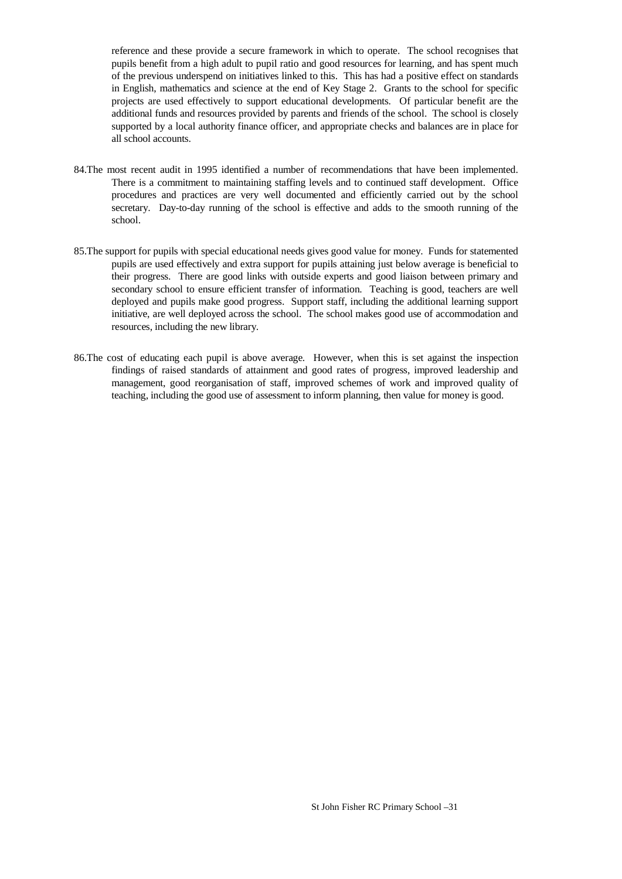reference and these provide a secure framework in which to operate. The school recognises that pupils benefit from a high adult to pupil ratio and good resources for learning, and has spent much of the previous underspend on initiatives linked to this. This has had a positive effect on standards in English, mathematics and science at the end of Key Stage 2. Grants to the school for specific projects are used effectively to support educational developments. Of particular benefit are the additional funds and resources provided by parents and friends of the school. The school is closely supported by a local authority finance officer, and appropriate checks and balances are in place for all school accounts.

- 84.The most recent audit in 1995 identified a number of recommendations that have been implemented. There is a commitment to maintaining staffing levels and to continued staff development. Office procedures and practices are very well documented and efficiently carried out by the school secretary. Day-to-day running of the school is effective and adds to the smooth running of the school.
- 85.The support for pupils with special educational needs gives good value for money. Funds for statemented pupils are used effectively and extra support for pupils attaining just below average is beneficial to their progress. There are good links with outside experts and good liaison between primary and secondary school to ensure efficient transfer of information. Teaching is good, teachers are well deployed and pupils make good progress. Support staff, including the additional learning support initiative, are well deployed across the school. The school makes good use of accommodation and resources, including the new library.
- 86.The cost of educating each pupil is above average. However, when this is set against the inspection findings of raised standards of attainment and good rates of progress, improved leadership and management, good reorganisation of staff, improved schemes of work and improved quality of teaching, including the good use of assessment to inform planning, then value for money is good.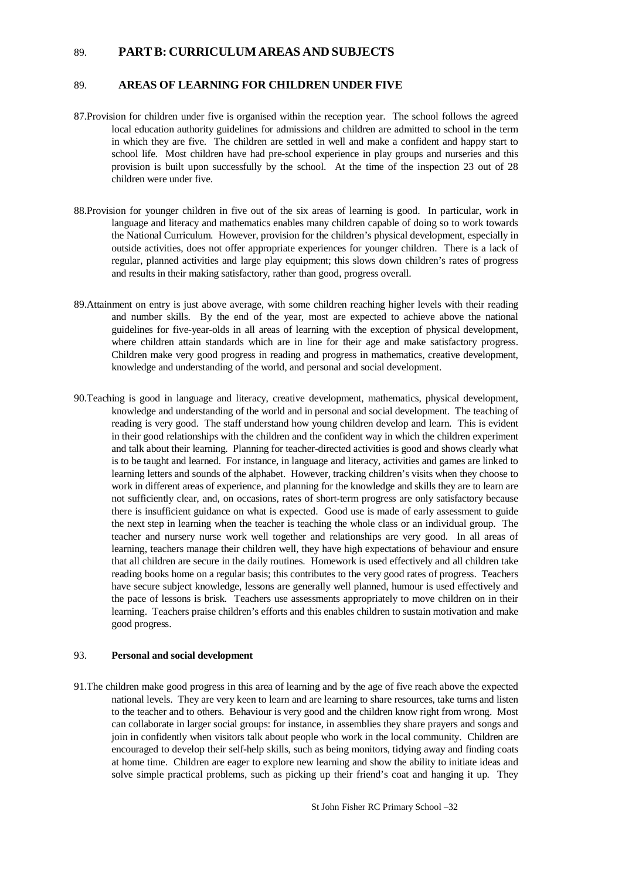### 89. **PART B: CURRICULUM AREAS AND SUBJECTS**

#### 89. **AREAS OF LEARNING FOR CHILDREN UNDER FIVE**

- 87.Provision for children under five is organised within the reception year. The school follows the agreed local education authority guidelines for admissions and children are admitted to school in the term in which they are five. The children are settled in well and make a confident and happy start to school life. Most children have had pre-school experience in play groups and nurseries and this provision is built upon successfully by the school. At the time of the inspection 23 out of 28 children were under five.
- 88.Provision for younger children in five out of the six areas of learning is good. In particular, work in language and literacy and mathematics enables many children capable of doing so to work towards the National Curriculum. However, provision for the children's physical development, especially in outside activities, does not offer appropriate experiences for younger children. There is a lack of regular, planned activities and large play equipment; this slows down children's rates of progress and results in their making satisfactory, rather than good, progress overall.
- 89.Attainment on entry is just above average, with some children reaching higher levels with their reading and number skills. By the end of the year, most are expected to achieve above the national guidelines for five-year-olds in all areas of learning with the exception of physical development, where children attain standards which are in line for their age and make satisfactory progress. Children make very good progress in reading and progress in mathematics, creative development, knowledge and understanding of the world, and personal and social development.
- 90.Teaching is good in language and literacy, creative development, mathematics, physical development, knowledge and understanding of the world and in personal and social development. The teaching of reading is very good. The staff understand how young children develop and learn. This is evident in their good relationships with the children and the confident way in which the children experiment and talk about their learning. Planning for teacher-directed activities is good and shows clearly what is to be taught and learned. For instance, in language and literacy, activities and games are linked to learning letters and sounds of the alphabet. However, tracking children's visits when they choose to work in different areas of experience, and planning for the knowledge and skills they are to learn are not sufficiently clear, and, on occasions, rates of short-term progress are only satisfactory because there is insufficient guidance on what is expected. Good use is made of early assessment to guide the next step in learning when the teacher is teaching the whole class or an individual group. The teacher and nursery nurse work well together and relationships are very good. In all areas of learning, teachers manage their children well, they have high expectations of behaviour and ensure that all children are secure in the daily routines. Homework is used effectively and all children take reading books home on a regular basis; this contributes to the very good rates of progress. Teachers have secure subject knowledge, lessons are generally well planned, humour is used effectively and the pace of lessons is brisk. Teachers use assessments appropriately to move children on in their learning. Teachers praise children's efforts and this enables children to sustain motivation and make good progress.

#### 93. **Personal and social development**

91.The children make good progress in this area of learning and by the age of five reach above the expected national levels. They are very keen to learn and are learning to share resources, take turns and listen to the teacher and to others. Behaviour is very good and the children know right from wrong. Most can collaborate in larger social groups: for instance, in assemblies they share prayers and songs and join in confidently when visitors talk about people who work in the local community. Children are encouraged to develop their self-help skills, such as being monitors, tidying away and finding coats at home time. Children are eager to explore new learning and show the ability to initiate ideas and solve simple practical problems, such as picking up their friend's coat and hanging it up. They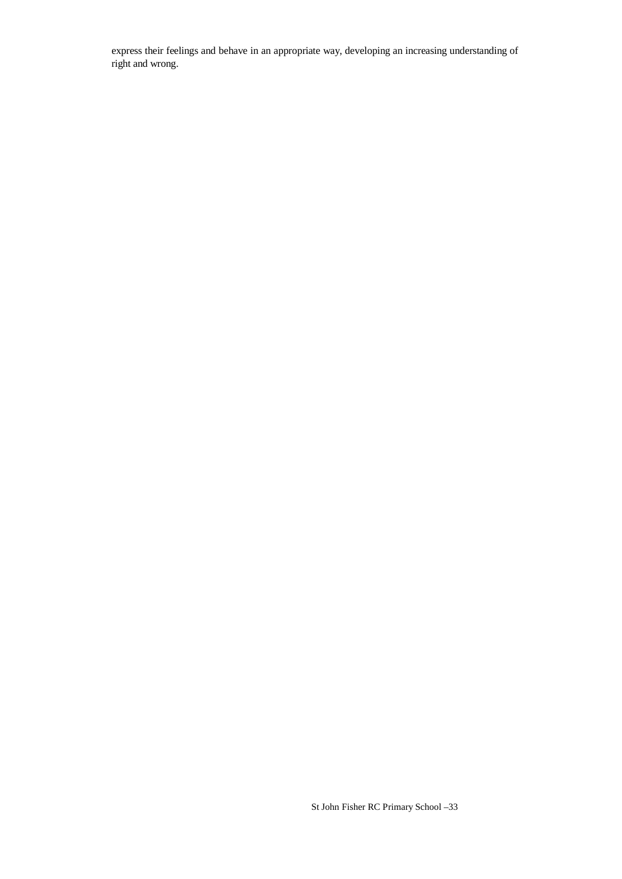express their feelings and behave in an appropriate way, developing an increasing understanding of right and wrong.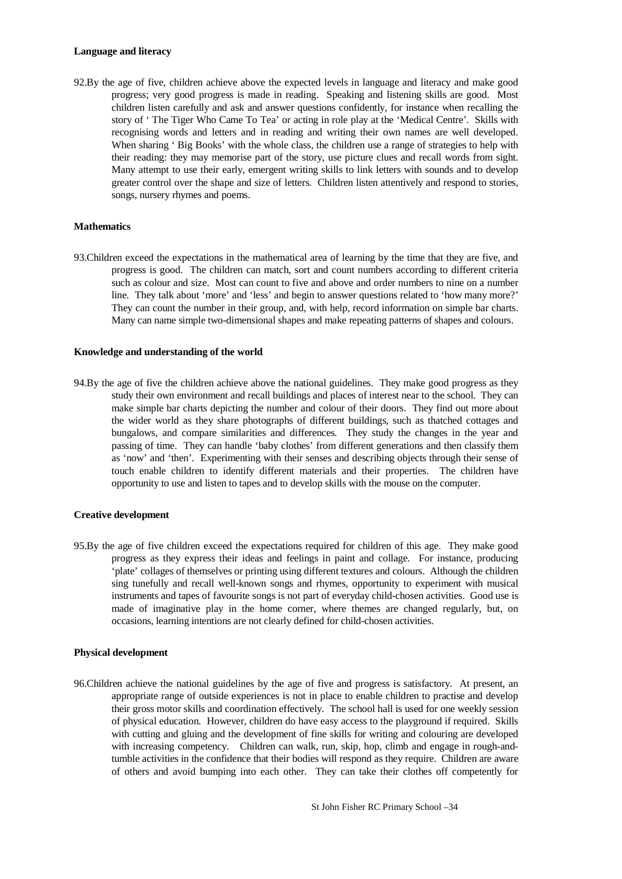#### **Language and literacy**

92.By the age of five, children achieve above the expected levels in language and literacy and make good progress; very good progress is made in reading. Speaking and listening skills are good. Most children listen carefully and ask and answer questions confidently, for instance when recalling the story of ' The Tiger Who Came To Tea' or acting in role play at the 'Medical Centre'. Skills with recognising words and letters and in reading and writing their own names are well developed. When sharing 'Big Books' with the whole class, the children use a range of strategies to help with their reading: they may memorise part of the story, use picture clues and recall words from sight. Many attempt to use their early, emergent writing skills to link letters with sounds and to develop greater control over the shape and size of letters. Children listen attentively and respond to stories, songs, nursery rhymes and poems.

#### **Mathematics**

93.Children exceed the expectations in the mathematical area of learning by the time that they are five, and progress is good. The children can match, sort and count numbers according to different criteria such as colour and size. Most can count to five and above and order numbers to nine on a number line. They talk about 'more' and 'less' and begin to answer questions related to 'how many more?' They can count the number in their group, and, with help, record information on simple bar charts. Many can name simple two-dimensional shapes and make repeating patterns of shapes and colours.

#### **Knowledge and understanding of the world**

94.By the age of five the children achieve above the national guidelines. They make good progress as they study their own environment and recall buildings and places of interest near to the school. They can make simple bar charts depicting the number and colour of their doors. They find out more about the wider world as they share photographs of different buildings, such as thatched cottages and bungalows, and compare similarities and differences. They study the changes in the year and passing of time. They can handle 'baby clothes' from different generations and then classify them as 'now' and 'then'. Experimenting with their senses and describing objects through their sense of touch enable children to identify different materials and their properties. The children have opportunity to use and listen to tapes and to develop skills with the mouse on the computer.

#### **Creative development**

95.By the age of five children exceed the expectations required for children of this age. They make good progress as they express their ideas and feelings in paint and collage. For instance, producing 'plate' collages of themselves or printing using different textures and colours. Although the children sing tunefully and recall well-known songs and rhymes, opportunity to experiment with musical instruments and tapes of favourite songs is not part of everyday child-chosen activities. Good use is made of imaginative play in the home corner, where themes are changed regularly, but, on occasions, learning intentions are not clearly defined for child-chosen activities.

#### **Physical development**

96.Children achieve the national guidelines by the age of five and progress is satisfactory. At present, an appropriate range of outside experiences is not in place to enable children to practise and develop their gross motor skills and coordination effectively. The school hall is used for one weekly session of physical education. However, children do have easy access to the playground if required. Skills with cutting and gluing and the development of fine skills for writing and colouring are developed with increasing competency. Children can walk, run, skip, hop, climb and engage in rough-andtumble activities in the confidence that their bodies will respond as they require. Children are aware of others and avoid bumping into each other. They can take their clothes off competently for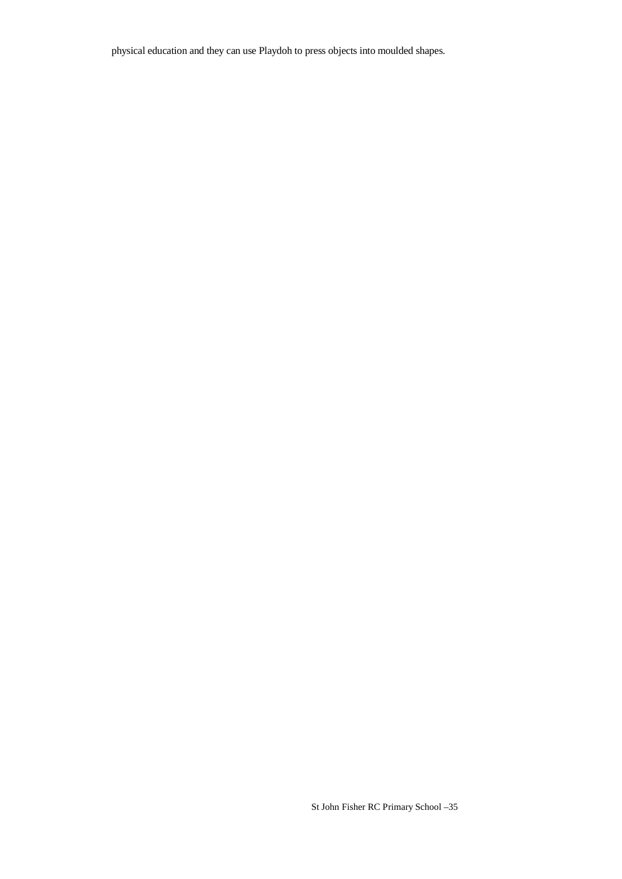physical education and they can use Playdoh to press objects into moulded shapes.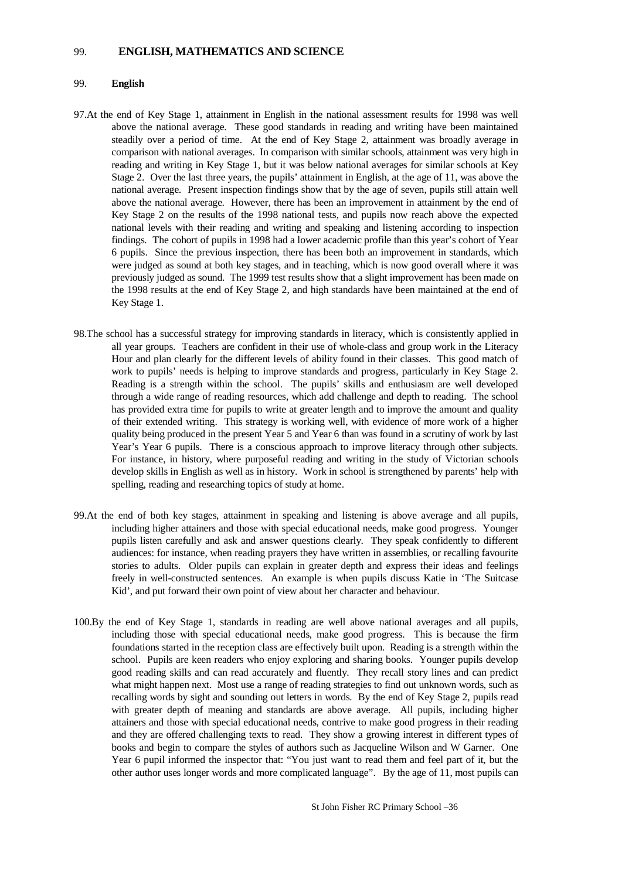#### 99. **ENGLISH, MATHEMATICS AND SCIENCE**

#### 99. **English**

- 97.At the end of Key Stage 1, attainment in English in the national assessment results for 1998 was well above the national average. These good standards in reading and writing have been maintained steadily over a period of time. At the end of Key Stage 2, attainment was broadly average in comparison with national averages. In comparison with similar schools, attainment was very high in reading and writing in Key Stage 1, but it was below national averages for similar schools at Key Stage 2. Over the last three years, the pupils' attainment in English, at the age of 11, was above the national average. Present inspection findings show that by the age of seven, pupils still attain well above the national average. However, there has been an improvement in attainment by the end of Key Stage 2 on the results of the 1998 national tests, and pupils now reach above the expected national levels with their reading and writing and speaking and listening according to inspection findings. The cohort of pupils in 1998 had a lower academic profile than this year's cohort of Year 6 pupils. Since the previous inspection, there has been both an improvement in standards, which were judged as sound at both key stages, and in teaching, which is now good overall where it was previously judged as sound. The 1999 test results show that a slight improvement has been made on the 1998 results at the end of Key Stage 2, and high standards have been maintained at the end of Key Stage 1.
- 98.The school has a successful strategy for improving standards in literacy, which is consistently applied in all year groups. Teachers are confident in their use of whole-class and group work in the Literacy Hour and plan clearly for the different levels of ability found in their classes. This good match of work to pupils' needs is helping to improve standards and progress, particularly in Key Stage 2. Reading is a strength within the school. The pupils' skills and enthusiasm are well developed through a wide range of reading resources, which add challenge and depth to reading. The school has provided extra time for pupils to write at greater length and to improve the amount and quality of their extended writing. This strategy is working well, with evidence of more work of a higher quality being produced in the present Year 5 and Year 6 than was found in a scrutiny of work by last Year's Year 6 pupils. There is a conscious approach to improve literacy through other subjects. For instance, in history, where purposeful reading and writing in the study of Victorian schools develop skills in English as well as in history. Work in school is strengthened by parents' help with spelling, reading and researching topics of study at home.
- 99.At the end of both key stages, attainment in speaking and listening is above average and all pupils, including higher attainers and those with special educational needs, make good progress. Younger pupils listen carefully and ask and answer questions clearly. They speak confidently to different audiences: for instance, when reading prayers they have written in assemblies, or recalling favourite stories to adults. Older pupils can explain in greater depth and express their ideas and feelings freely in well-constructed sentences. An example is when pupils discuss Katie in 'The Suitcase Kid', and put forward their own point of view about her character and behaviour.
- 100.By the end of Key Stage 1, standards in reading are well above national averages and all pupils, including those with special educational needs, make good progress. This is because the firm foundations started in the reception class are effectively built upon. Reading is a strength within the school. Pupils are keen readers who enjoy exploring and sharing books. Younger pupils develop good reading skills and can read accurately and fluently. They recall story lines and can predict what might happen next. Most use a range of reading strategies to find out unknown words, such as recalling words by sight and sounding out letters in words. By the end of Key Stage 2, pupils read with greater depth of meaning and standards are above average. All pupils, including higher attainers and those with special educational needs, contrive to make good progress in their reading and they are offered challenging texts to read. They show a growing interest in different types of books and begin to compare the styles of authors such as Jacqueline Wilson and W Garner. One Year 6 pupil informed the inspector that: "You just want to read them and feel part of it, but the other author uses longer words and more complicated language". By the age of 11, most pupils can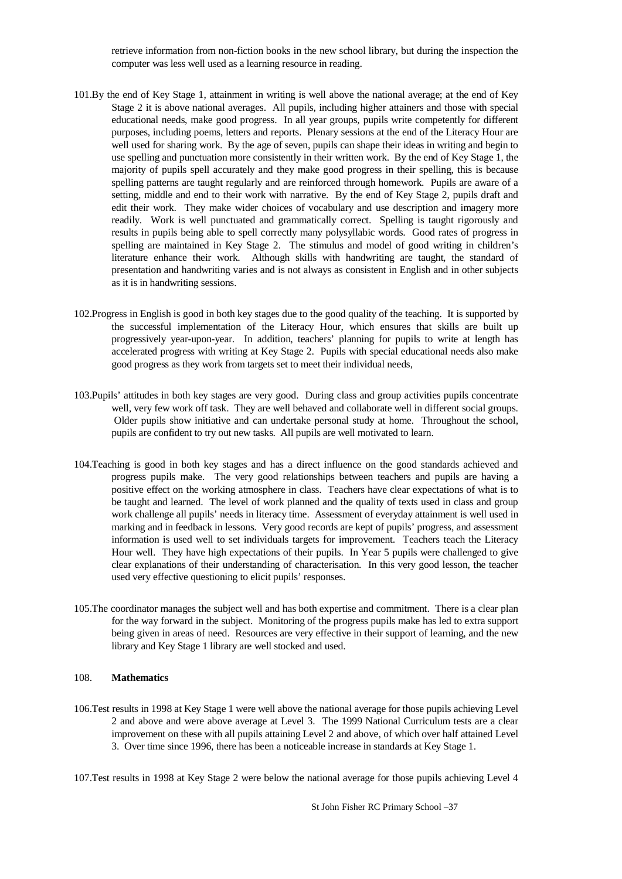retrieve information from non-fiction books in the new school library, but during the inspection the computer was less well used as a learning resource in reading.

- 101.By the end of Key Stage 1, attainment in writing is well above the national average; at the end of Key Stage 2 it is above national averages. All pupils, including higher attainers and those with special educational needs, make good progress. In all year groups, pupils write competently for different purposes, including poems, letters and reports. Plenary sessions at the end of the Literacy Hour are well used for sharing work. By the age of seven, pupils can shape their ideas in writing and begin to use spelling and punctuation more consistently in their written work. By the end of Key Stage 1, the majority of pupils spell accurately and they make good progress in their spelling, this is because spelling patterns are taught regularly and are reinforced through homework. Pupils are aware of a setting, middle and end to their work with narrative. By the end of Key Stage 2, pupils draft and edit their work. They make wider choices of vocabulary and use description and imagery more readily. Work is well punctuated and grammatically correct. Spelling is taught rigorously and results in pupils being able to spell correctly many polysyllabic words. Good rates of progress in spelling are maintained in Key Stage 2. The stimulus and model of good writing in children's literature enhance their work. Although skills with handwriting are taught, the standard of presentation and handwriting varies and is not always as consistent in English and in other subjects as it is in handwriting sessions.
- 102.Progress in English is good in both key stages due to the good quality of the teaching. It is supported by the successful implementation of the Literacy Hour, which ensures that skills are built up progressively year-upon-year. In addition, teachers' planning for pupils to write at length has accelerated progress with writing at Key Stage 2. Pupils with special educational needs also make good progress as they work from targets set to meet their individual needs,
- 103.Pupils' attitudes in both key stages are very good. During class and group activities pupils concentrate well, very few work off task. They are well behaved and collaborate well in different social groups. Older pupils show initiative and can undertake personal study at home. Throughout the school, pupils are confident to try out new tasks. All pupils are well motivated to learn.
- 104.Teaching is good in both key stages and has a direct influence on the good standards achieved and progress pupils make. The very good relationships between teachers and pupils are having a positive effect on the working atmosphere in class. Teachers have clear expectations of what is to be taught and learned. The level of work planned and the quality of texts used in class and group work challenge all pupils' needs in literacy time. Assessment of everyday attainment is well used in marking and in feedback in lessons. Very good records are kept of pupils' progress, and assessment information is used well to set individuals targets for improvement. Teachers teach the Literacy Hour well. They have high expectations of their pupils. In Year 5 pupils were challenged to give clear explanations of their understanding of characterisation. In this very good lesson, the teacher used very effective questioning to elicit pupils' responses.
- 105.The coordinator manages the subject well and has both expertise and commitment. There is a clear plan for the way forward in the subject. Monitoring of the progress pupils make has led to extra support being given in areas of need. Resources are very effective in their support of learning, and the new library and Key Stage 1 library are well stocked and used.

#### 108. **Mathematics**

106.Test results in 1998 at Key Stage 1 were well above the national average for those pupils achieving Level 2 and above and were above average at Level 3. The 1999 National Curriculum tests are a clear improvement on these with all pupils attaining Level 2 and above, of which over half attained Level 3. Over time since 1996, there has been a noticeable increase in standards at Key Stage 1.

107.Test results in 1998 at Key Stage 2 were below the national average for those pupils achieving Level 4

St John Fisher RC Primary School –37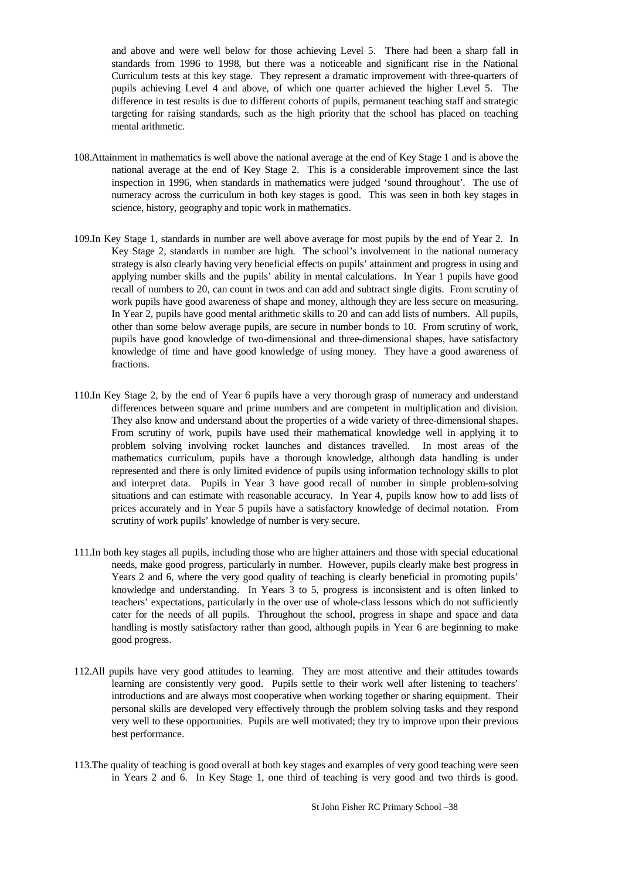and above and were well below for those achieving Level 5. There had been a sharp fall in standards from 1996 to 1998, but there was a noticeable and significant rise in the National Curriculum tests at this key stage. They represent a dramatic improvement with three-quarters of pupils achieving Level 4 and above, of which one quarter achieved the higher Level 5. The difference in test results is due to different cohorts of pupils, permanent teaching staff and strategic targeting for raising standards, such as the high priority that the school has placed on teaching mental arithmetic.

- 108.Attainment in mathematics is well above the national average at the end of Key Stage 1 and is above the national average at the end of Key Stage 2. This is a considerable improvement since the last inspection in 1996, when standards in mathematics were judged 'sound throughout'. The use of numeracy across the curriculum in both key stages is good. This was seen in both key stages in science, history, geography and topic work in mathematics.
- 109.In Key Stage 1, standards in number are well above average for most pupils by the end of Year 2. In Key Stage 2, standards in number are high. The school's involvement in the national numeracy strategy is also clearly having very beneficial effects on pupils' attainment and progress in using and applying number skills and the pupils' ability in mental calculations. In Year 1 pupils have good recall of numbers to 20, can count in twos and can add and subtract single digits. From scrutiny of work pupils have good awareness of shape and money, although they are less secure on measuring. In Year 2, pupils have good mental arithmetic skills to 20 and can add lists of numbers. All pupils, other than some below average pupils, are secure in number bonds to 10. From scrutiny of work, pupils have good knowledge of two-dimensional and three-dimensional shapes, have satisfactory knowledge of time and have good knowledge of using money. They have a good awareness of fractions.
- 110.In Key Stage 2, by the end of Year 6 pupils have a very thorough grasp of numeracy and understand differences between square and prime numbers and are competent in multiplication and division. They also know and understand about the properties of a wide variety of three-dimensional shapes. From scrutiny of work, pupils have used their mathematical knowledge well in applying it to problem solving involving rocket launches and distances travelled. In most areas of the mathematics curriculum, pupils have a thorough knowledge, although data handling is under represented and there is only limited evidence of pupils using information technology skills to plot and interpret data. Pupils in Year 3 have good recall of number in simple problem-solving situations and can estimate with reasonable accuracy. In Year 4, pupils know how to add lists of prices accurately and in Year 5 pupils have a satisfactory knowledge of decimal notation. From scrutiny of work pupils' knowledge of number is very secure.
- 111.In both key stages all pupils, including those who are higher attainers and those with special educational needs, make good progress, particularly in number. However, pupils clearly make best progress in Years 2 and 6, where the very good quality of teaching is clearly beneficial in promoting pupils' knowledge and understanding. In Years 3 to 5, progress is inconsistent and is often linked to teachers' expectations, particularly in the over use of whole-class lessons which do not sufficiently cater for the needs of all pupils. Throughout the school, progress in shape and space and data handling is mostly satisfactory rather than good, although pupils in Year 6 are beginning to make good progress.
- 112.All pupils have very good attitudes to learning. They are most attentive and their attitudes towards learning are consistently very good. Pupils settle to their work well after listening to teachers' introductions and are always most cooperative when working together or sharing equipment. Their personal skills are developed very effectively through the problem solving tasks and they respond very well to these opportunities. Pupils are well motivated; they try to improve upon their previous best performance.
- 113.The quality of teaching is good overall at both key stages and examples of very good teaching were seen in Years 2 and 6. In Key Stage 1, one third of teaching is very good and two thirds is good.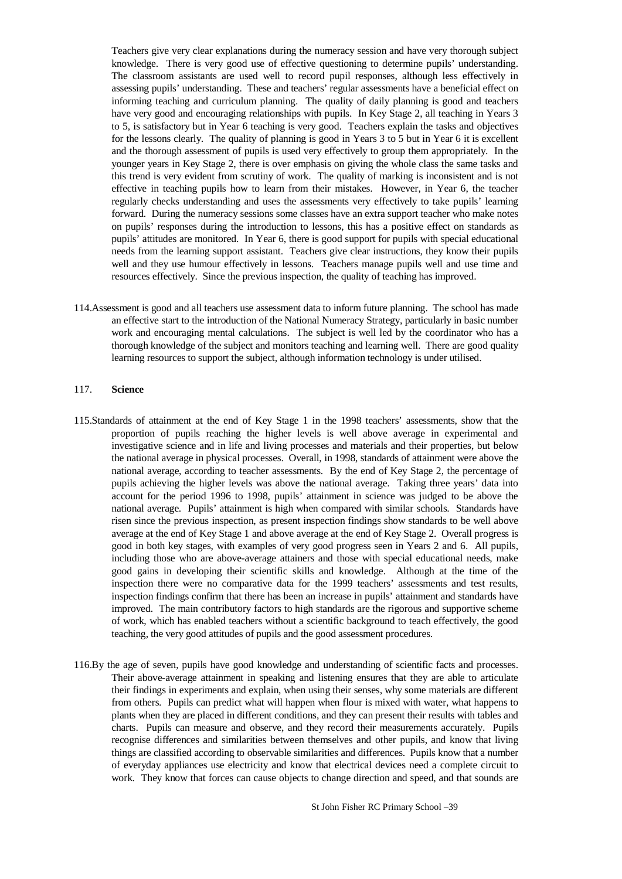Teachers give very clear explanations during the numeracy session and have very thorough subject knowledge. There is very good use of effective questioning to determine pupils' understanding. The classroom assistants are used well to record pupil responses, although less effectively in assessing pupils' understanding. These and teachers' regular assessments have a beneficial effect on informing teaching and curriculum planning. The quality of daily planning is good and teachers have very good and encouraging relationships with pupils. In Key Stage 2, all teaching in Years 3 to 5, is satisfactory but in Year 6 teaching is very good. Teachers explain the tasks and objectives for the lessons clearly. The quality of planning is good in Years 3 to 5 but in Year 6 it is excellent and the thorough assessment of pupils is used very effectively to group them appropriately. In the younger years in Key Stage 2, there is over emphasis on giving the whole class the same tasks and this trend is very evident from scrutiny of work. The quality of marking is inconsistent and is not effective in teaching pupils how to learn from their mistakes. However, in Year 6, the teacher regularly checks understanding and uses the assessments very effectively to take pupils' learning forward. During the numeracy sessions some classes have an extra support teacher who make notes on pupils' responses during the introduction to lessons, this has a positive effect on standards as pupils' attitudes are monitored. In Year 6, there is good support for pupils with special educational needs from the learning support assistant. Teachers give clear instructions, they know their pupils well and they use humour effectively in lessons. Teachers manage pupils well and use time and resources effectively. Since the previous inspection, the quality of teaching has improved.

114.Assessment is good and all teachers use assessment data to inform future planning. The school has made an effective start to the introduction of the National Numeracy Strategy, particularly in basic number work and encouraging mental calculations. The subject is well led by the coordinator who has a thorough knowledge of the subject and monitors teaching and learning well. There are good quality learning resources to support the subject, although information technology is under utilised.

#### 117. **Science**

- 115.Standards of attainment at the end of Key Stage 1 in the 1998 teachers' assessments, show that the proportion of pupils reaching the higher levels is well above average in experimental and investigative science and in life and living processes and materials and their properties, but below the national average in physical processes. Overall, in 1998, standards of attainment were above the national average, according to teacher assessments. By the end of Key Stage 2, the percentage of pupils achieving the higher levels was above the national average. Taking three years' data into account for the period 1996 to 1998, pupils' attainment in science was judged to be above the national average. Pupils' attainment is high when compared with similar schools. Standards have risen since the previous inspection, as present inspection findings show standards to be well above average at the end of Key Stage 1 and above average at the end of Key Stage 2. Overall progress is good in both key stages, with examples of very good progress seen in Years 2 and 6. All pupils, including those who are above-average attainers and those with special educational needs, make good gains in developing their scientific skills and knowledge. Although at the time of the inspection there were no comparative data for the 1999 teachers' assessments and test results, inspection findings confirm that there has been an increase in pupils' attainment and standards have improved. The main contributory factors to high standards are the rigorous and supportive scheme of work, which has enabled teachers without a scientific background to teach effectively, the good teaching, the very good attitudes of pupils and the good assessment procedures.
- 116.By the age of seven, pupils have good knowledge and understanding of scientific facts and processes. Their above-average attainment in speaking and listening ensures that they are able to articulate their findings in experiments and explain, when using their senses, why some materials are different from others. Pupils can predict what will happen when flour is mixed with water, what happens to plants when they are placed in different conditions, and they can present their results with tables and charts. Pupils can measure and observe, and they record their measurements accurately. Pupils recognise differences and similarities between themselves and other pupils, and know that living things are classified according to observable similarities and differences. Pupils know that a number of everyday appliances use electricity and know that electrical devices need a complete circuit to work. They know that forces can cause objects to change direction and speed, and that sounds are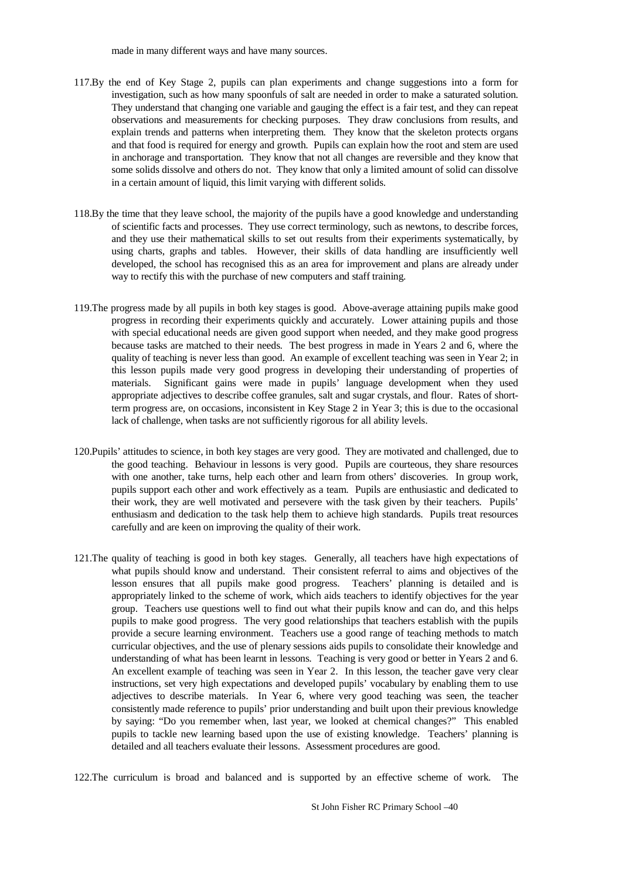made in many different ways and have many sources.

- 117.By the end of Key Stage 2, pupils can plan experiments and change suggestions into a form for investigation, such as how many spoonfuls of salt are needed in order to make a saturated solution. They understand that changing one variable and gauging the effect is a fair test, and they can repeat observations and measurements for checking purposes. They draw conclusions from results, and explain trends and patterns when interpreting them. They know that the skeleton protects organs and that food is required for energy and growth. Pupils can explain how the root and stem are used in anchorage and transportation. They know that not all changes are reversible and they know that some solids dissolve and others do not. They know that only a limited amount of solid can dissolve in a certain amount of liquid, this limit varying with different solids.
- 118.By the time that they leave school, the majority of the pupils have a good knowledge and understanding of scientific facts and processes. They use correct terminology, such as newtons, to describe forces, and they use their mathematical skills to set out results from their experiments systematically, by using charts, graphs and tables. However, their skills of data handling are insufficiently well developed, the school has recognised this as an area for improvement and plans are already under way to rectify this with the purchase of new computers and staff training.
- 119.The progress made by all pupils in both key stages is good. Above-average attaining pupils make good progress in recording their experiments quickly and accurately. Lower attaining pupils and those with special educational needs are given good support when needed, and they make good progress because tasks are matched to their needs. The best progress in made in Years 2 and 6, where the quality of teaching is never less than good. An example of excellent teaching was seen in Year 2; in this lesson pupils made very good progress in developing their understanding of properties of materials. Significant gains were made in pupils' language development when they used appropriate adjectives to describe coffee granules, salt and sugar crystals, and flour. Rates of shortterm progress are, on occasions, inconsistent in Key Stage 2 in Year 3; this is due to the occasional lack of challenge, when tasks are not sufficiently rigorous for all ability levels.
- 120.Pupils' attitudes to science, in both key stages are very good. They are motivated and challenged, due to the good teaching. Behaviour in lessons is very good. Pupils are courteous, they share resources with one another, take turns, help each other and learn from others' discoveries. In group work, pupils support each other and work effectively as a team. Pupils are enthusiastic and dedicated to their work, they are well motivated and persevere with the task given by their teachers. Pupils' enthusiasm and dedication to the task help them to achieve high standards. Pupils treat resources carefully and are keen on improving the quality of their work.
- 121.The quality of teaching is good in both key stages. Generally, all teachers have high expectations of what pupils should know and understand. Their consistent referral to aims and objectives of the lesson ensures that all pupils make good progress. Teachers' planning is detailed and is appropriately linked to the scheme of work, which aids teachers to identify objectives for the year group. Teachers use questions well to find out what their pupils know and can do, and this helps pupils to make good progress. The very good relationships that teachers establish with the pupils provide a secure learning environment. Teachers use a good range of teaching methods to match curricular objectives, and the use of plenary sessions aids pupils to consolidate their knowledge and understanding of what has been learnt in lessons. Teaching is very good or better in Years 2 and 6. An excellent example of teaching was seen in Year 2. In this lesson, the teacher gave very clear instructions, set very high expectations and developed pupils' vocabulary by enabling them to use adjectives to describe materials. In Year 6, where very good teaching was seen, the teacher consistently made reference to pupils' prior understanding and built upon their previous knowledge by saying: "Do you remember when, last year, we looked at chemical changes?" This enabled pupils to tackle new learning based upon the use of existing knowledge. Teachers' planning is detailed and all teachers evaluate their lessons. Assessment procedures are good.

122.The curriculum is broad and balanced and is supported by an effective scheme of work. The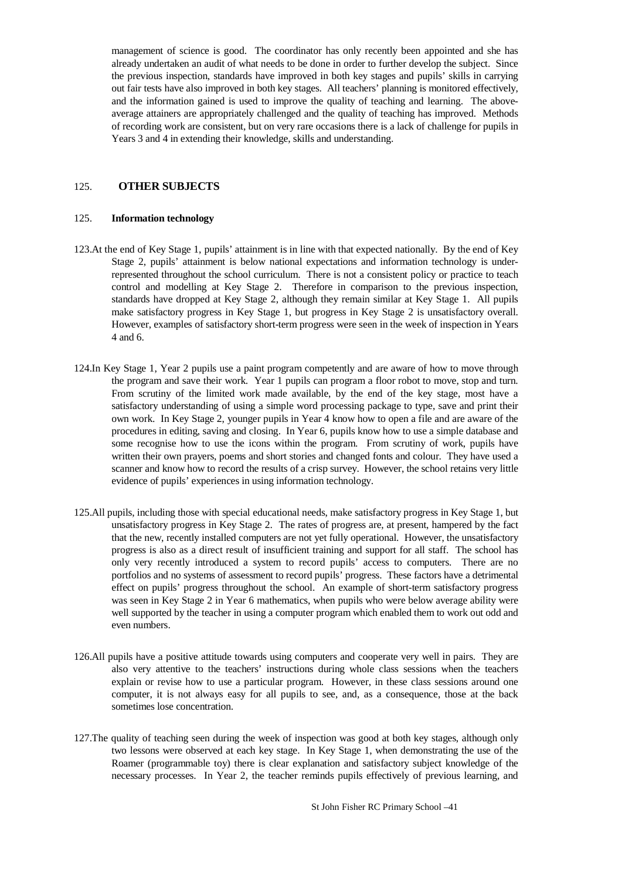management of science is good. The coordinator has only recently been appointed and she has already undertaken an audit of what needs to be done in order to further develop the subject. Since the previous inspection, standards have improved in both key stages and pupils' skills in carrying out fair tests have also improved in both key stages. All teachers' planning is monitored effectively, and the information gained is used to improve the quality of teaching and learning. The aboveaverage attainers are appropriately challenged and the quality of teaching has improved. Methods of recording work are consistent, but on very rare occasions there is a lack of challenge for pupils in Years 3 and 4 in extending their knowledge, skills and understanding.

#### 125. **OTHER SUBJECTS**

#### 125. **Information technology**

- 123.At the end of Key Stage 1, pupils' attainment is in line with that expected nationally. By the end of Key Stage 2, pupils' attainment is below national expectations and information technology is underrepresented throughout the school curriculum. There is not a consistent policy or practice to teach control and modelling at Key Stage 2. Therefore in comparison to the previous inspection, standards have dropped at Key Stage 2, although they remain similar at Key Stage 1. All pupils make satisfactory progress in Key Stage 1, but progress in Key Stage 2 is unsatisfactory overall. However, examples of satisfactory short-term progress were seen in the week of inspection in Years 4 and 6.
- 124.In Key Stage 1, Year 2 pupils use a paint program competently and are aware of how to move through the program and save their work. Year 1 pupils can program a floor robot to move, stop and turn. From scrutiny of the limited work made available, by the end of the key stage, most have a satisfactory understanding of using a simple word processing package to type, save and print their own work. In Key Stage 2, younger pupils in Year 4 know how to open a file and are aware of the procedures in editing, saving and closing. In Year 6, pupils know how to use a simple database and some recognise how to use the icons within the program. From scrutiny of work, pupils have written their own prayers, poems and short stories and changed fonts and colour. They have used a scanner and know how to record the results of a crisp survey. However, the school retains very little evidence of pupils' experiences in using information technology.
- 125.All pupils, including those with special educational needs, make satisfactory progress in Key Stage 1, but unsatisfactory progress in Key Stage 2. The rates of progress are, at present, hampered by the fact that the new, recently installed computers are not yet fully operational. However, the unsatisfactory progress is also as a direct result of insufficient training and support for all staff. The school has only very recently introduced a system to record pupils' access to computers. There are no portfolios and no systems of assessment to record pupils' progress. These factors have a detrimental effect on pupils' progress throughout the school. An example of short-term satisfactory progress was seen in Key Stage 2 in Year 6 mathematics, when pupils who were below average ability were well supported by the teacher in using a computer program which enabled them to work out odd and even numbers.
- 126.All pupils have a positive attitude towards using computers and cooperate very well in pairs. They are also very attentive to the teachers' instructions during whole class sessions when the teachers explain or revise how to use a particular program. However, in these class sessions around one computer, it is not always easy for all pupils to see, and, as a consequence, those at the back sometimes lose concentration.
- 127.The quality of teaching seen during the week of inspection was good at both key stages, although only two lessons were observed at each key stage. In Key Stage 1, when demonstrating the use of the Roamer (programmable toy) there is clear explanation and satisfactory subject knowledge of the necessary processes. In Year 2, the teacher reminds pupils effectively of previous learning, and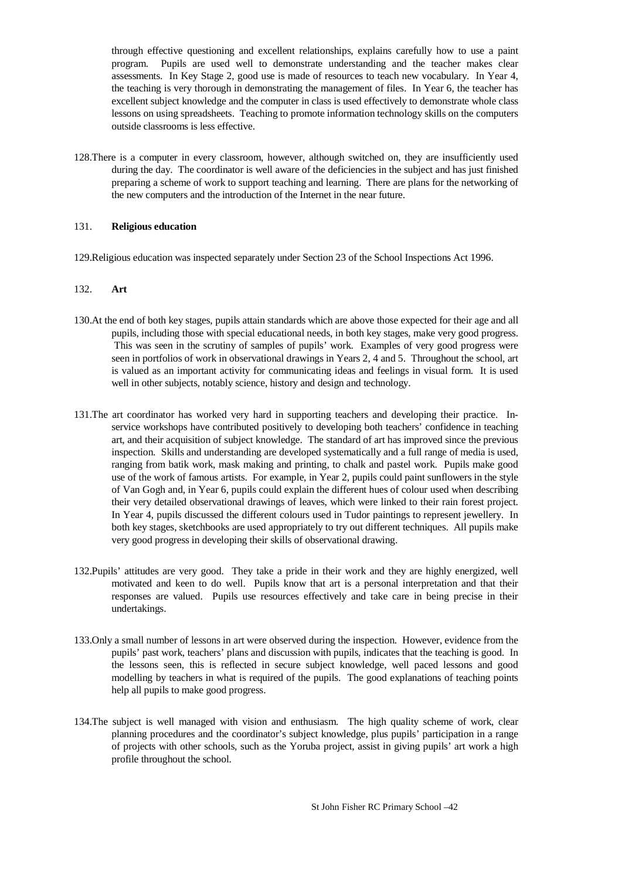through effective questioning and excellent relationships, explains carefully how to use a paint program. Pupils are used well to demonstrate understanding and the teacher makes clear assessments. In Key Stage 2, good use is made of resources to teach new vocabulary. In Year 4, the teaching is very thorough in demonstrating the management of files. In Year 6, the teacher has excellent subject knowledge and the computer in class is used effectively to demonstrate whole class lessons on using spreadsheets. Teaching to promote information technology skills on the computers outside classrooms is less effective.

128.There is a computer in every classroom, however, although switched on, they are insufficiently used during the day. The coordinator is well aware of the deficiencies in the subject and has just finished preparing a scheme of work to support teaching and learning. There are plans for the networking of the new computers and the introduction of the Internet in the near future.

#### 131. **Religious education**

129.Religious education was inspected separately under Section 23 of the School Inspections Act 1996.

#### 132. **Art**

- 130.At the end of both key stages, pupils attain standards which are above those expected for their age and all pupils, including those with special educational needs, in both key stages, make very good progress. This was seen in the scrutiny of samples of pupils' work. Examples of very good progress were seen in portfolios of work in observational drawings in Years 2, 4 and 5. Throughout the school, art is valued as an important activity for communicating ideas and feelings in visual form. It is used well in other subjects, notably science, history and design and technology.
- 131.The art coordinator has worked very hard in supporting teachers and developing their practice. Inservice workshops have contributed positively to developing both teachers' confidence in teaching art, and their acquisition of subject knowledge. The standard of art has improved since the previous inspection. Skills and understanding are developed systematically and a full range of media is used, ranging from batik work, mask making and printing, to chalk and pastel work. Pupils make good use of the work of famous artists. For example, in Year 2, pupils could paint sunflowers in the style of Van Gogh and, in Year 6, pupils could explain the different hues of colour used when describing their very detailed observational drawings of leaves, which were linked to their rain forest project. In Year 4, pupils discussed the different colours used in Tudor paintings to represent jewellery. In both key stages, sketchbooks are used appropriately to try out different techniques. All pupils make very good progress in developing their skills of observational drawing.
- 132.Pupils' attitudes are very good. They take a pride in their work and they are highly energized, well motivated and keen to do well. Pupils know that art is a personal interpretation and that their responses are valued. Pupils use resources effectively and take care in being precise in their undertakings.
- 133.Only a small number of lessons in art were observed during the inspection. However, evidence from the pupils' past work, teachers' plans and discussion with pupils, indicates that the teaching is good. In the lessons seen, this is reflected in secure subject knowledge, well paced lessons and good modelling by teachers in what is required of the pupils. The good explanations of teaching points help all pupils to make good progress.
- 134.The subject is well managed with vision and enthusiasm. The high quality scheme of work, clear planning procedures and the coordinator's subject knowledge, plus pupils' participation in a range of projects with other schools, such as the Yoruba project, assist in giving pupils' art work a high profile throughout the school.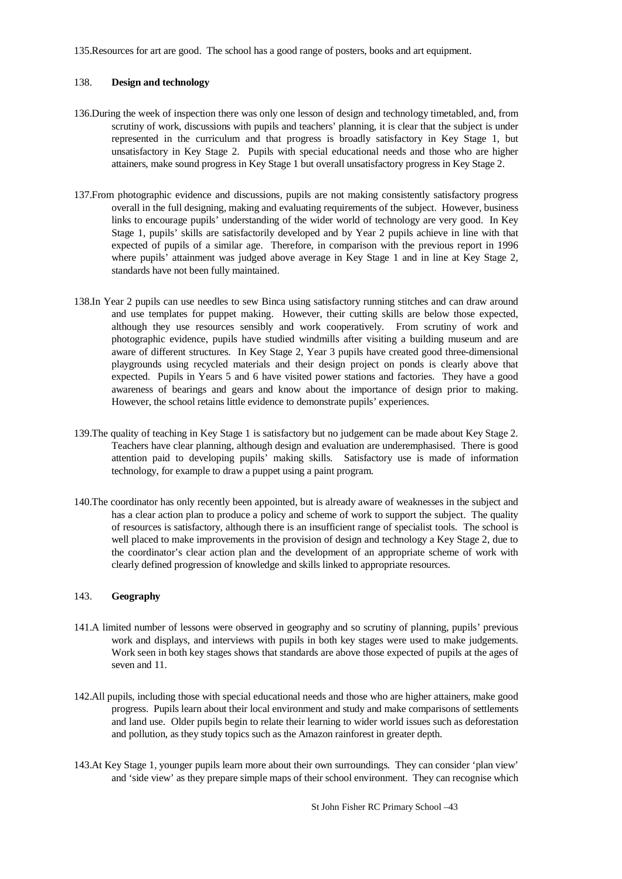135.Resources for art are good. The school has a good range of posters, books and art equipment.

#### 138. **Design and technology**

- 136.During the week of inspection there was only one lesson of design and technology timetabled, and, from scrutiny of work, discussions with pupils and teachers' planning, it is clear that the subject is under represented in the curriculum and that progress is broadly satisfactory in Key Stage 1, but unsatisfactory in Key Stage 2. Pupils with special educational needs and those who are higher attainers, make sound progress in Key Stage 1 but overall unsatisfactory progress in Key Stage 2.
- 137.From photographic evidence and discussions, pupils are not making consistently satisfactory progress overall in the full designing, making and evaluating requirements of the subject. However, business links to encourage pupils' understanding of the wider world of technology are very good. In Key Stage 1, pupils' skills are satisfactorily developed and by Year 2 pupils achieve in line with that expected of pupils of a similar age. Therefore, in comparison with the previous report in 1996 where pupils' attainment was judged above average in Key Stage 1 and in line at Key Stage 2, standards have not been fully maintained.
- 138.In Year 2 pupils can use needles to sew Binca using satisfactory running stitches and can draw around and use templates for puppet making. However, their cutting skills are below those expected, although they use resources sensibly and work cooperatively. From scrutiny of work and photographic evidence, pupils have studied windmills after visiting a building museum and are aware of different structures. In Key Stage 2, Year 3 pupils have created good three-dimensional playgrounds using recycled materials and their design project on ponds is clearly above that expected. Pupils in Years 5 and 6 have visited power stations and factories. They have a good awareness of bearings and gears and know about the importance of design prior to making. However, the school retains little evidence to demonstrate pupils' experiences.
- 139.The quality of teaching in Key Stage 1 is satisfactory but no judgement can be made about Key Stage 2. Teachers have clear planning, although design and evaluation are underemphasised. There is good attention paid to developing pupils' making skills. Satisfactory use is made of information technology, for example to draw a puppet using a paint program.
- 140.The coordinator has only recently been appointed, but is already aware of weaknesses in the subject and has a clear action plan to produce a policy and scheme of work to support the subject. The quality of resources is satisfactory, although there is an insufficient range of specialist tools. The school is well placed to make improvements in the provision of design and technology a Key Stage 2, due to the coordinator's clear action plan and the development of an appropriate scheme of work with clearly defined progression of knowledge and skills linked to appropriate resources.

#### 143. **Geography**

- 141.A limited number of lessons were observed in geography and so scrutiny of planning, pupils' previous work and displays, and interviews with pupils in both key stages were used to make judgements. Work seen in both key stages shows that standards are above those expected of pupils at the ages of seven and 11.
- 142.All pupils, including those with special educational needs and those who are higher attainers, make good progress. Pupils learn about their local environment and study and make comparisons of settlements and land use. Older pupils begin to relate their learning to wider world issues such as deforestation and pollution, as they study topics such as the Amazon rainforest in greater depth.
- 143.At Key Stage 1, younger pupils learn more about their own surroundings. They can consider 'plan view' and 'side view' as they prepare simple maps of their school environment. They can recognise which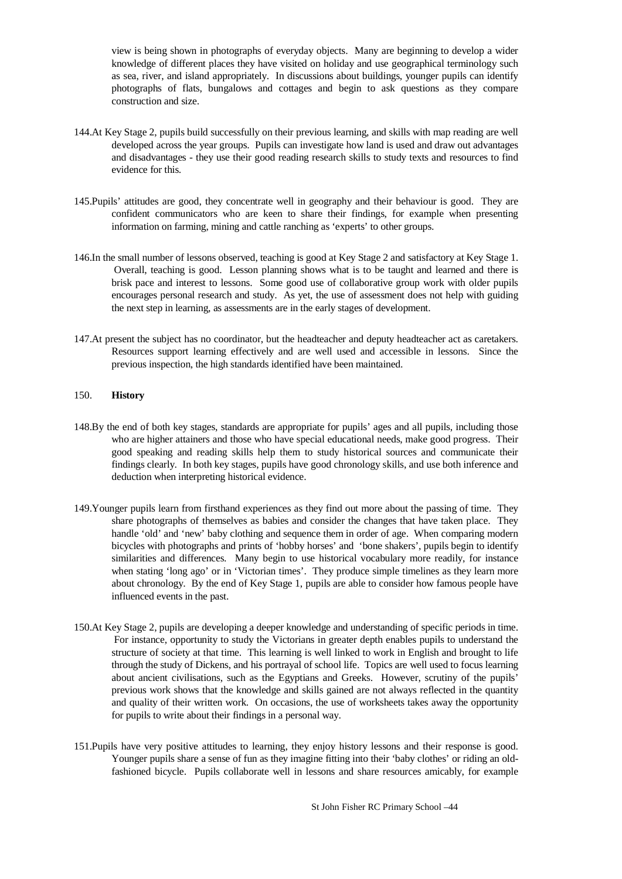view is being shown in photographs of everyday objects. Many are beginning to develop a wider knowledge of different places they have visited on holiday and use geographical terminology such as sea, river, and island appropriately. In discussions about buildings, younger pupils can identify photographs of flats, bungalows and cottages and begin to ask questions as they compare construction and size.

- 144.At Key Stage 2, pupils build successfully on their previous learning, and skills with map reading are well developed across the year groups. Pupils can investigate how land is used and draw out advantages and disadvantages - they use their good reading research skills to study texts and resources to find evidence for this.
- 145.Pupils' attitudes are good, they concentrate well in geography and their behaviour is good. They are confident communicators who are keen to share their findings, for example when presenting information on farming, mining and cattle ranching as 'experts' to other groups.
- 146.In the small number of lessons observed, teaching is good at Key Stage 2 and satisfactory at Key Stage 1. Overall, teaching is good. Lesson planning shows what is to be taught and learned and there is brisk pace and interest to lessons. Some good use of collaborative group work with older pupils encourages personal research and study. As yet, the use of assessment does not help with guiding the next step in learning, as assessments are in the early stages of development.
- 147.At present the subject has no coordinator, but the headteacher and deputy headteacher act as caretakers. Resources support learning effectively and are well used and accessible in lessons. Since the previous inspection, the high standards identified have been maintained.

#### 150. **History**

- 148.By the end of both key stages, standards are appropriate for pupils' ages and all pupils, including those who are higher attainers and those who have special educational needs, make good progress. Their good speaking and reading skills help them to study historical sources and communicate their findings clearly. In both key stages, pupils have good chronology skills, and use both inference and deduction when interpreting historical evidence.
- 149.Younger pupils learn from firsthand experiences as they find out more about the passing of time. They share photographs of themselves as babies and consider the changes that have taken place. They handle 'old' and 'new' baby clothing and sequence them in order of age. When comparing modern bicycles with photographs and prints of 'hobby horses' and 'bone shakers', pupils begin to identify similarities and differences. Many begin to use historical vocabulary more readily, for instance when stating 'long ago' or in 'Victorian times'. They produce simple timelines as they learn more about chronology. By the end of Key Stage 1, pupils are able to consider how famous people have influenced events in the past.
- 150.At Key Stage 2, pupils are developing a deeper knowledge and understanding of specific periods in time. For instance, opportunity to study the Victorians in greater depth enables pupils to understand the structure of society at that time. This learning is well linked to work in English and brought to life through the study of Dickens, and his portrayal of school life. Topics are well used to focus learning about ancient civilisations, such as the Egyptians and Greeks. However, scrutiny of the pupils' previous work shows that the knowledge and skills gained are not always reflected in the quantity and quality of their written work. On occasions, the use of worksheets takes away the opportunity for pupils to write about their findings in a personal way.
- 151.Pupils have very positive attitudes to learning, they enjoy history lessons and their response is good. Younger pupils share a sense of fun as they imagine fitting into their 'baby clothes' or riding an oldfashioned bicycle. Pupils collaborate well in lessons and share resources amicably, for example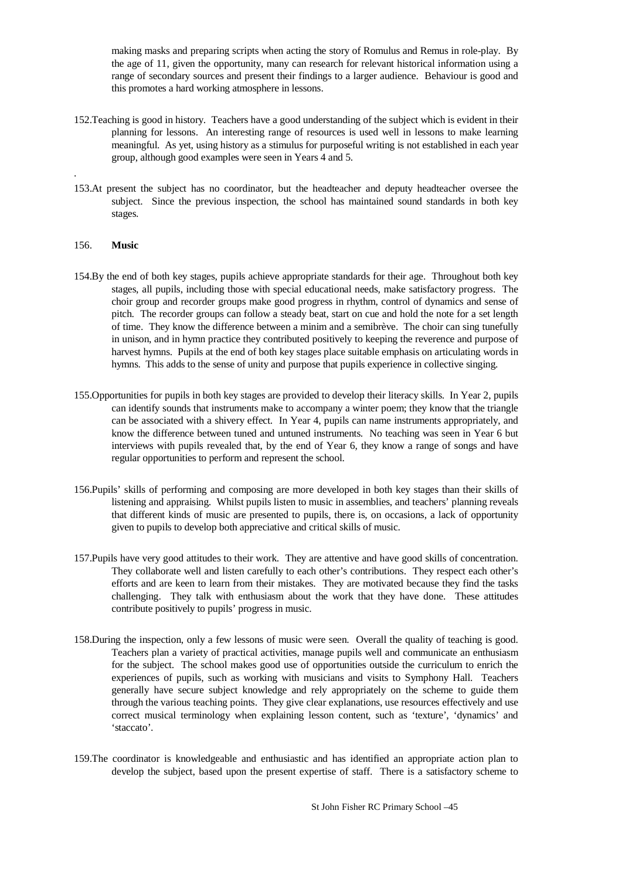making masks and preparing scripts when acting the story of Romulus and Remus in role-play. By the age of 11, given the opportunity, many can research for relevant historical information using a range of secondary sources and present their findings to a larger audience. Behaviour is good and this promotes a hard working atmosphere in lessons.

- 152.Teaching is good in history. Teachers have a good understanding of the subject which is evident in their planning for lessons. An interesting range of resources is used well in lessons to make learning meaningful. As yet, using history as a stimulus for purposeful writing is not established in each year group, although good examples were seen in Years 4 and 5.
- 153.At present the subject has no coordinator, but the headteacher and deputy headteacher oversee the subject. Since the previous inspection, the school has maintained sound standards in both key stages.

#### 156. **Music**

.

- 154.By the end of both key stages, pupils achieve appropriate standards for their age. Throughout both key stages, all pupils, including those with special educational needs, make satisfactory progress. The choir group and recorder groups make good progress in rhythm, control of dynamics and sense of pitch. The recorder groups can follow a steady beat, start on cue and hold the note for a set length of time. They know the difference between a minim and a semibrève. The choir can sing tunefully in unison, and in hymn practice they contributed positively to keeping the reverence and purpose of harvest hymns. Pupils at the end of both key stages place suitable emphasis on articulating words in hymns. This adds to the sense of unity and purpose that pupils experience in collective singing.
- 155.Opportunities for pupils in both key stages are provided to develop their literacy skills. In Year 2, pupils can identify sounds that instruments make to accompany a winter poem; they know that the triangle can be associated with a shivery effect. In Year 4, pupils can name instruments appropriately, and know the difference between tuned and untuned instruments. No teaching was seen in Year 6 but interviews with pupils revealed that, by the end of Year 6, they know a range of songs and have regular opportunities to perform and represent the school.
- 156.Pupils' skills of performing and composing are more developed in both key stages than their skills of listening and appraising. Whilst pupils listen to music in assemblies, and teachers' planning reveals that different kinds of music are presented to pupils, there is, on occasions, a lack of opportunity given to pupils to develop both appreciative and critical skills of music.
- 157.Pupils have very good attitudes to their work. They are attentive and have good skills of concentration. They collaborate well and listen carefully to each other's contributions. They respect each other's efforts and are keen to learn from their mistakes. They are motivated because they find the tasks challenging. They talk with enthusiasm about the work that they have done. These attitudes contribute positively to pupils' progress in music.
- 158.During the inspection, only a few lessons of music were seen. Overall the quality of teaching is good. Teachers plan a variety of practical activities, manage pupils well and communicate an enthusiasm for the subject. The school makes good use of opportunities outside the curriculum to enrich the experiences of pupils, such as working with musicians and visits to Symphony Hall. Teachers generally have secure subject knowledge and rely appropriately on the scheme to guide them through the various teaching points. They give clear explanations, use resources effectively and use correct musical terminology when explaining lesson content, such as 'texture', 'dynamics' and 'staccato'.
- 159.The coordinator is knowledgeable and enthusiastic and has identified an appropriate action plan to develop the subject, based upon the present expertise of staff. There is a satisfactory scheme to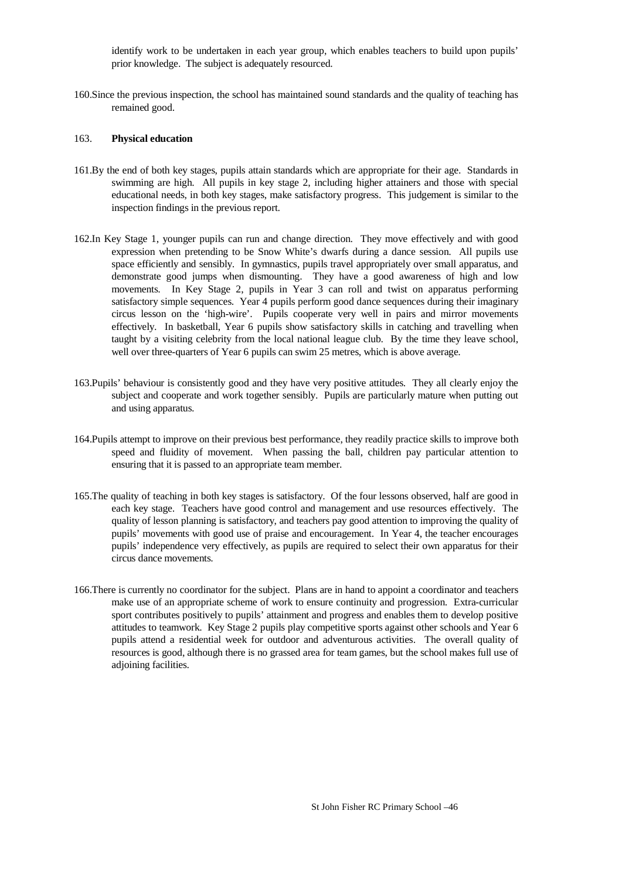identify work to be undertaken in each year group, which enables teachers to build upon pupils' prior knowledge. The subject is adequately resourced.

160.Since the previous inspection, the school has maintained sound standards and the quality of teaching has remained good.

#### 163. **Physical education**

- 161.By the end of both key stages, pupils attain standards which are appropriate for their age. Standards in swimming are high. All pupils in key stage 2, including higher attainers and those with special educational needs, in both key stages, make satisfactory progress. This judgement is similar to the inspection findings in the previous report.
- 162.In Key Stage 1, younger pupils can run and change direction. They move effectively and with good expression when pretending to be Snow White's dwarfs during a dance session. All pupils use space efficiently and sensibly. In gymnastics, pupils travel appropriately over small apparatus, and demonstrate good jumps when dismounting. They have a good awareness of high and low movements. In Key Stage 2, pupils in Year 3 can roll and twist on apparatus performing satisfactory simple sequences. Year 4 pupils perform good dance sequences during their imaginary circus lesson on the 'high-wire'. Pupils cooperate very well in pairs and mirror movements effectively. In basketball, Year 6 pupils show satisfactory skills in catching and travelling when taught by a visiting celebrity from the local national league club. By the time they leave school, well over three-quarters of Year 6 pupils can swim 25 metres, which is above average.
- 163.Pupils' behaviour is consistently good and they have very positive attitudes. They all clearly enjoy the subject and cooperate and work together sensibly. Pupils are particularly mature when putting out and using apparatus.
- 164.Pupils attempt to improve on their previous best performance, they readily practice skills to improve both speed and fluidity of movement. When passing the ball, children pay particular attention to ensuring that it is passed to an appropriate team member.
- 165.The quality of teaching in both key stages is satisfactory. Of the four lessons observed, half are good in each key stage. Teachers have good control and management and use resources effectively. The quality of lesson planning is satisfactory, and teachers pay good attention to improving the quality of pupils' movements with good use of praise and encouragement. In Year 4, the teacher encourages pupils' independence very effectively, as pupils are required to select their own apparatus for their circus dance movements.
- 166.There is currently no coordinator for the subject. Plans are in hand to appoint a coordinator and teachers make use of an appropriate scheme of work to ensure continuity and progression. Extra-curricular sport contributes positively to pupils' attainment and progress and enables them to develop positive attitudes to teamwork. Key Stage 2 pupils play competitive sports against other schools and Year 6 pupils attend a residential week for outdoor and adventurous activities. The overall quality of resources is good, although there is no grassed area for team games, but the school makes full use of adjoining facilities.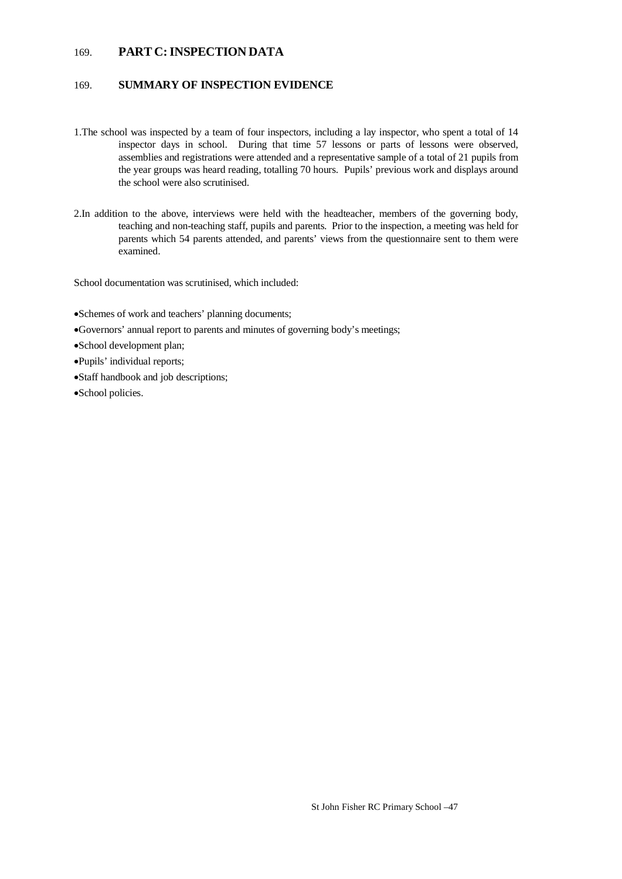### 169. **PART C: INSPECTION DATA**

### 169. **SUMMARY OF INSPECTION EVIDENCE**

- 1.The school was inspected by a team of four inspectors, including a lay inspector, who spent a total of 14 inspector days in school. During that time 57 lessons or parts of lessons were observed, assemblies and registrations were attended and a representative sample of a total of 21 pupils from the year groups was heard reading, totalling 70 hours. Pupils' previous work and displays around the school were also scrutinised.
- 2.In addition to the above, interviews were held with the headteacher, members of the governing body, teaching and non-teaching staff, pupils and parents. Prior to the inspection, a meeting was held for parents which 54 parents attended, and parents' views from the questionnaire sent to them were examined.

School documentation was scrutinised, which included:

- Schemes of work and teachers' planning documents;
- Governors' annual report to parents and minutes of governing body's meetings;
- School development plan;
- Pupils' individual reports;
- Staff handbook and job descriptions;
- School policies.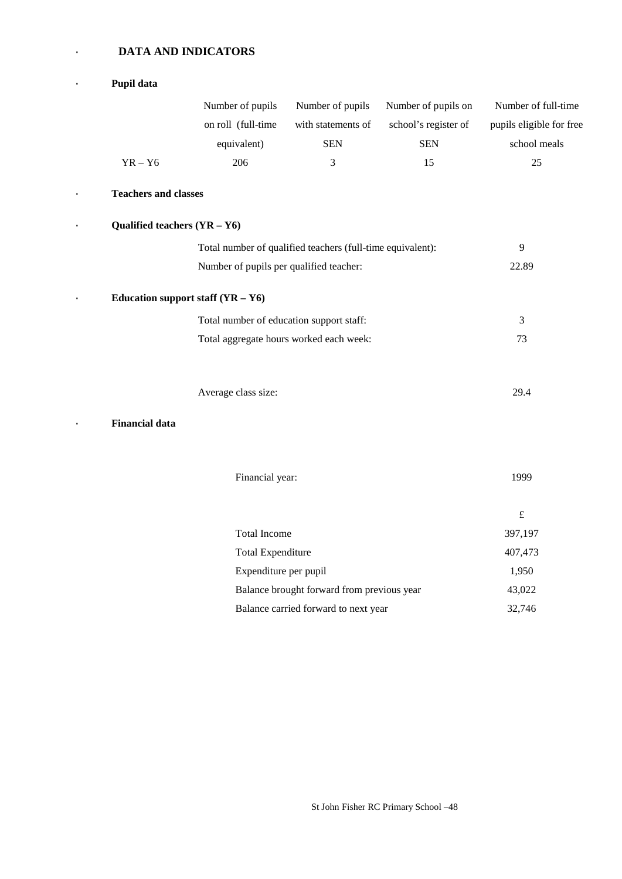### · **DATA AND INDICATORS**

|           | Pupil data                     |                                          |                                                            |                      |                          |
|-----------|--------------------------------|------------------------------------------|------------------------------------------------------------|----------------------|--------------------------|
|           |                                | Number of pupils                         | Number of pupils                                           | Number of pupils on  | Number of full-time      |
|           |                                | on roll (full-time                       | with statements of                                         | school's register of | pupils eligible for free |
|           |                                | equivalent)                              | <b>SEN</b>                                                 | <b>SEN</b>           | school meals             |
|           | $YR - Y6$                      | 206                                      | 3                                                          | 15                   | 25                       |
| $\bullet$ | <b>Teachers and classes</b>    |                                          |                                                            |                      |                          |
| $\bullet$ | Qualified teachers $(YR - Y6)$ |                                          |                                                            |                      |                          |
|           |                                |                                          | Total number of qualified teachers (full-time equivalent): |                      | 9                        |
|           |                                | Number of pupils per qualified teacher:  |                                                            |                      | 22.89                    |
|           |                                | Education support staff $(YR - Y6)$      |                                                            |                      |                          |
|           |                                | Total number of education support staff: |                                                            |                      | 3                        |
|           |                                |                                          | Total aggregate hours worked each week:                    |                      | 73                       |
|           |                                | Average class size:                      |                                                            |                      | 29.4                     |
|           | <b>Financial data</b>          |                                          |                                                            |                      |                          |
|           |                                | Financial year:                          |                                                            |                      | 1999                     |
|           |                                |                                          |                                                            |                      | $\pounds$                |
|           |                                | <b>Total Income</b>                      |                                                            |                      | 397,197                  |
|           |                                | <b>Total Expenditure</b>                 |                                                            |                      | 407,473                  |
|           |                                | Expenditure per pupil                    |                                                            |                      | 1,950                    |
|           |                                |                                          | Balance brought forward from previous year                 |                      | 43,022                   |
|           |                                |                                          | Balance carried forward to next year                       |                      | 32,746                   |